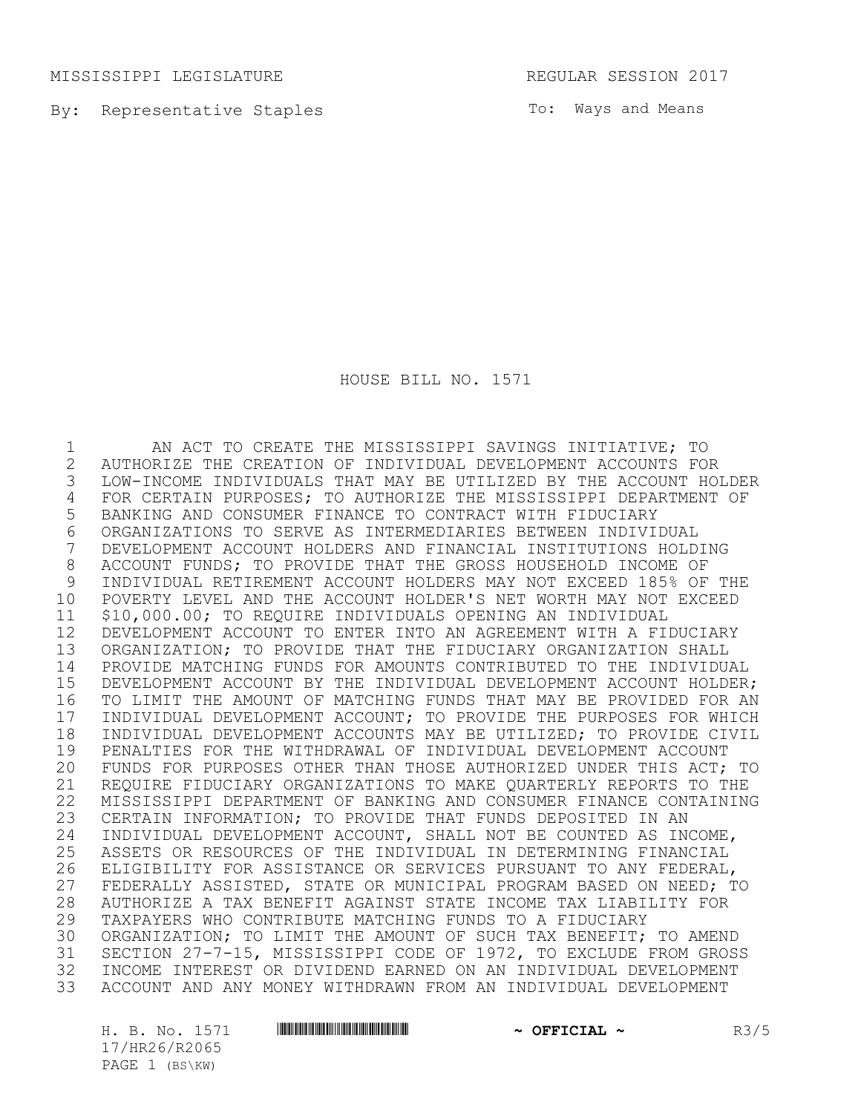MISSISSIPPI LEGISLATURE REGULAR SESSION 2017

By: Representative Staples

To: Ways and Means

HOUSE BILL NO. 1571

 AN ACT TO CREATE THE MISSISSIPPI SAVINGS INITIATIVE; TO AUTHORIZE THE CREATION OF INDIVIDUAL DEVELOPMENT ACCOUNTS FOR LOW-INCOME INDIVIDUALS THAT MAY BE UTILIZED BY THE ACCOUNT HOLDER FOR CERTAIN PURPOSES; TO AUTHORIZE THE MISSISSIPPI DEPARTMENT OF BANKING AND CONSUMER FINANCE TO CONTRACT WITH FIDUCIARY ORGANIZATIONS TO SERVE AS INTERMEDIARIES BETWEEN INDIVIDUAL DEVELOPMENT ACCOUNT HOLDERS AND FINANCIAL INSTITUTIONS HOLDING ACCOUNT FUNDS; TO PROVIDE THAT THE GROSS HOUSEHOLD INCOME OF INDIVIDUAL RETIREMENT ACCOUNT HOLDERS MAY NOT EXCEED 185% OF THE POVERTY LEVEL AND THE ACCOUNT HOLDER'S NET WORTH MAY NOT EXCEED \$10,000.00; TO REQUIRE INDIVIDUALS OPENING AN INDIVIDUAL DEVELOPMENT ACCOUNT TO ENTER INTO AN AGREEMENT WITH A FIDUCIARY ORGANIZATION; TO PROVIDE THAT THE FIDUCIARY ORGANIZATION SHALL PROVIDE MATCHING FUNDS FOR AMOUNTS CONTRIBUTED TO THE INDIVIDUAL DEVELOPMENT ACCOUNT BY THE INDIVIDUAL DEVELOPMENT ACCOUNT HOLDER; TO LIMIT THE AMOUNT OF MATCHING FUNDS THAT MAY BE PROVIDED FOR AN 17 INDIVIDUAL DEVELOPMENT ACCOUNT; TO PROVIDE THE PURPOSES FOR WHICH<br>18 INDIVIDUAL DEVELOPMENT ACCOUNTS MAY BE UTILIZED; TO PROVIDE CIVIL 18 INDIVIDUAL DEVELOPMENT ACCOUNTS MAY BE UTILIZED; TO PROVIDE CIVIL<br>19 PENALTIES FOR THE WITHDRAWAL OF INDIVIDUAL DEVELOPMENT ACCOUNT 19 PENALTIES FOR THE WITHDRAWAL OF INDIVIDUAL DEVELOPMENT ACCOUNT<br>20 FUNDS FOR PURPOSES OTHER THAN THOSE AUTHORIZED UNDER THIS ACT; FUNDS FOR PURPOSES OTHER THAN THOSE AUTHORIZED UNDER THIS ACT; TO REQUIRE FIDUCIARY ORGANIZATIONS TO MAKE QUARTERLY REPORTS TO THE MISSISSIPPI DEPARTMENT OF BANKING AND CONSUMER FINANCE CONTAINING CERTAIN INFORMATION; TO PROVIDE THAT FUNDS DEPOSITED IN AN 24 INDIVIDUAL DEVELOPMENT ACCOUNT, SHALL NOT BE COUNTED AS INCOME,<br>25 ASSETS OR RESOURCES OF THE INDIVIDUAL IN DETERMINING FINANCIAL 25 ASSETS OR RESOURCES OF THE INDIVIDUAL IN DETERMINING FINANCIAL<br>26 ELIGIBILITY FOR ASSISTANCE OR SERVICES PURSUANT TO ANY FEDERAL ELIGIBILITY FOR ASSISTANCE OR SERVICES PURSUANT TO ANY FEDERAL, FEDERALLY ASSISTED, STATE OR MUNICIPAL PROGRAM BASED ON NEED; TO AUTHORIZE A TAX BENEFIT AGAINST STATE INCOME TAX LIABILITY FOR TAXPAYERS WHO CONTRIBUTE MATCHING FUNDS TO A FIDUCIARY ORGANIZATION; TO LIMIT THE AMOUNT OF SUCH TAX BENEFIT; TO AMEND SECTION 27-7-15, MISSISSIPPI CODE OF 1972, TO EXCLUDE FROM GROSS 32 INCOME INTEREST OR DIVIDEND EARNED ON AN INDIVIDUAL DEVELOPMENT<br>33 ACCOUNT AND ANY MONEY WITHDRAWN FROM AN INDIVIDUAL DEVELOPMENT ACCOUNT AND ANY MONEY WITHDRAWN FROM AN INDIVIDUAL DEVELOPMENT

17/HR26/R2065 PAGE 1 (BS\KW)

H. B. No. 1571 **HREFREE REEL ASSESSED ASSESSED AT A DEFICIAL ~** R3/5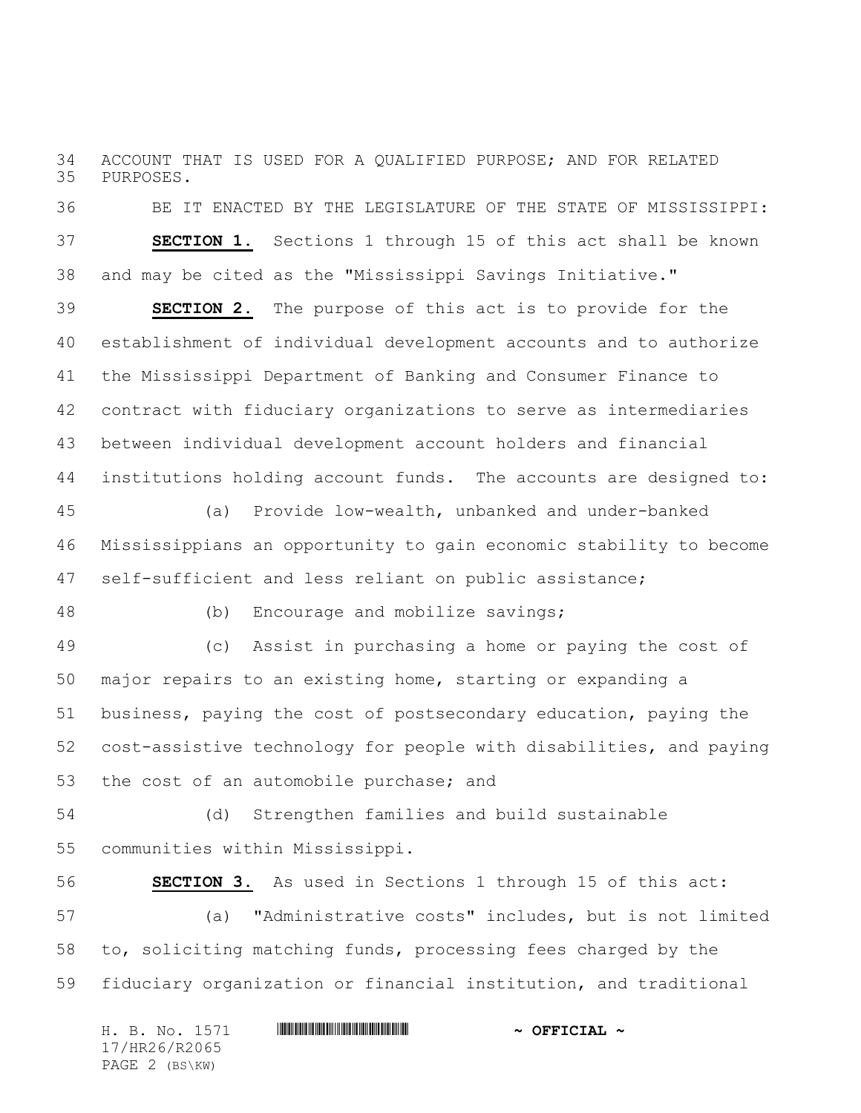ACCOUNT THAT IS USED FOR A QUALIFIED PURPOSE; AND FOR RELATED PURPOSES.

 BE IT ENACTED BY THE LEGISLATURE OF THE STATE OF MISSISSIPPI: **SECTION 1.** Sections 1 through 15 of this act shall be known and may be cited as the "Mississippi Savings Initiative."

 **SECTION 2.** The purpose of this act is to provide for the establishment of individual development accounts and to authorize the Mississippi Department of Banking and Consumer Finance to contract with fiduciary organizations to serve as intermediaries between individual development account holders and financial institutions holding account funds. The accounts are designed to:

 (a) Provide low-wealth, unbanked and under-banked Mississippians an opportunity to gain economic stability to become self-sufficient and less reliant on public assistance;

(b) Encourage and mobilize savings;

 (c) Assist in purchasing a home or paying the cost of major repairs to an existing home, starting or expanding a business, paying the cost of postsecondary education, paying the cost-assistive technology for people with disabilities, and paying the cost of an automobile purchase; and

 (d) Strengthen families and build sustainable communities within Mississippi.

 **SECTION 3.** As used in Sections 1 through 15 of this act: (a) "Administrative costs" includes, but is not limited to, soliciting matching funds, processing fees charged by the fiduciary organization or financial institution, and traditional

| H. B. No. 1571 | $\sim$ OFFICIAL $\sim$ |
|----------------|------------------------|
| 17/HR26/R2065  |                        |
| PAGE 2 (BS\KW) |                        |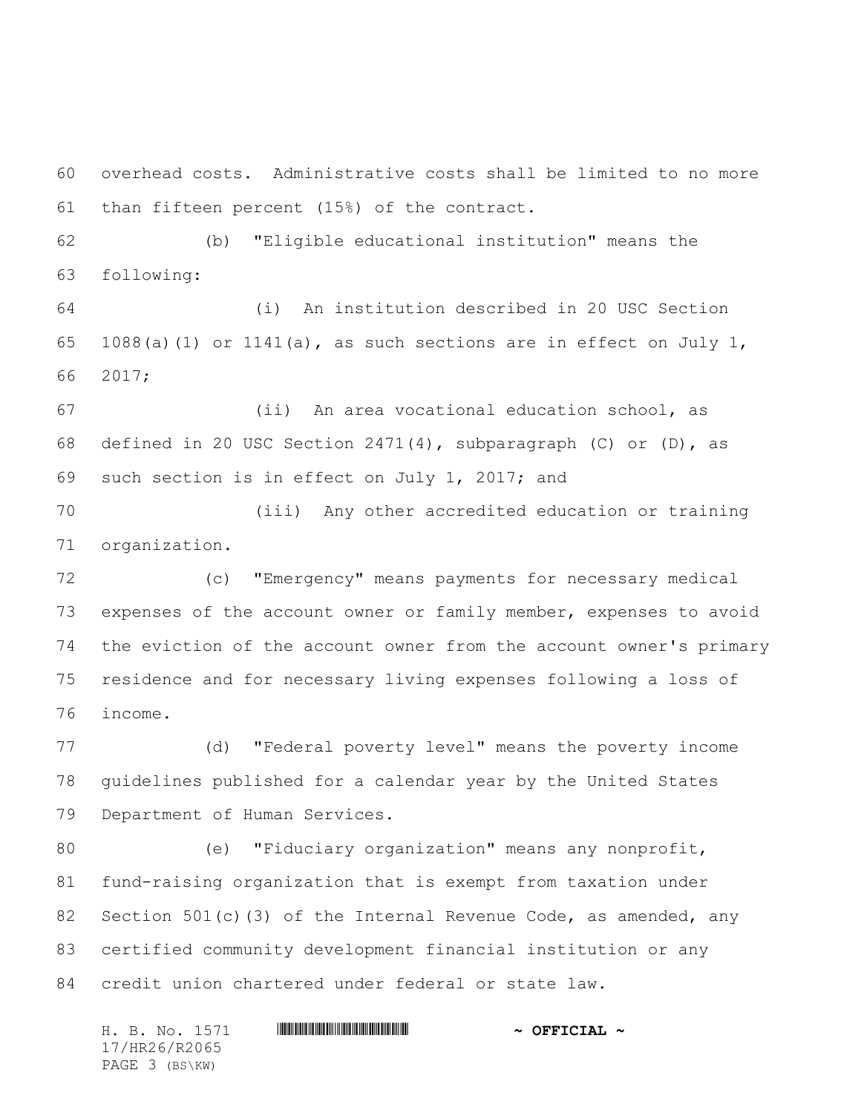overhead costs. Administrative costs shall be limited to no more than fifteen percent (15%) of the contract.

 (b) "Eligible educational institution" means the following:

 (i) An institution described in 20 USC Section 65 1088(a)(1) or 1141(a), as such sections are in effect on July 1, 2017;

 (ii) An area vocational education school, as 68 defined in 20 USC Section 2471(4), subparagraph (C) or (D), as such section is in effect on July 1, 2017; and

 (iii) Any other accredited education or training organization.

 (c) "Emergency" means payments for necessary medical expenses of the account owner or family member, expenses to avoid the eviction of the account owner from the account owner's primary residence and for necessary living expenses following a loss of income.

 (d) "Federal poverty level" means the poverty income guidelines published for a calendar year by the United States Department of Human Services.

 (e) "Fiduciary organization" means any nonprofit, fund-raising organization that is exempt from taxation under 82 Section 501(c)(3) of the Internal Revenue Code, as amended, any certified community development financial institution or any credit union chartered under federal or state law.

H. B. No. 1571 **HRACH RACE AND ALL AND A OFFICIAL ~** 17/HR26/R2065 PAGE 3 (BS\KW)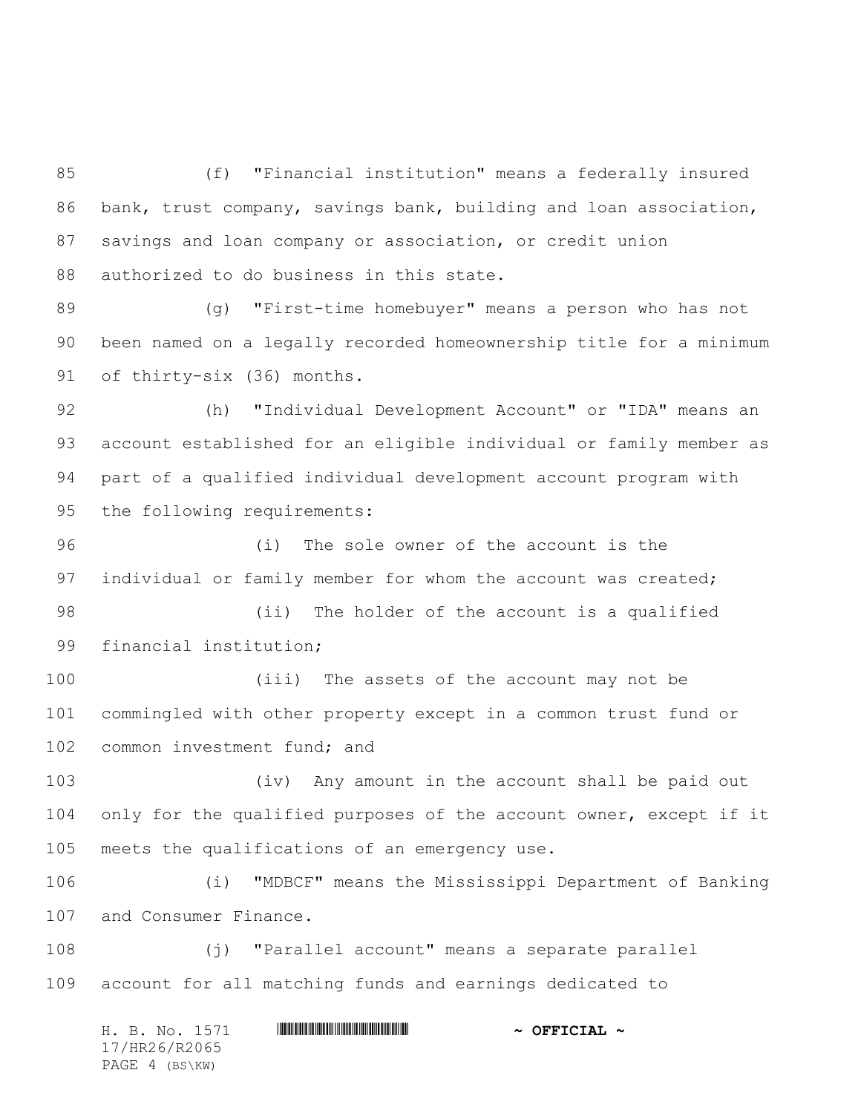(f) "Financial institution" means a federally insured bank, trust company, savings bank, building and loan association, savings and loan company or association, or credit union 88 authorized to do business in this state.

 (g) "First-time homebuyer" means a person who has not been named on a legally recorded homeownership title for a minimum of thirty-six (36) months.

 (h) "Individual Development Account" or "IDA" means an account established for an eligible individual or family member as part of a qualified individual development account program with the following requirements:

 (i) The sole owner of the account is the 97 individual or family member for whom the account was created;

 (ii) The holder of the account is a qualified financial institution;

 (iii) The assets of the account may not be commingled with other property except in a common trust fund or 102 common investment fund; and

 (iv) Any amount in the account shall be paid out only for the qualified purposes of the account owner, except if it meets the qualifications of an emergency use.

 (i) "MDBCF" means the Mississippi Department of Banking and Consumer Finance.

 (j) "Parallel account" means a separate parallel account for all matching funds and earnings dedicated to

H. B. No. 1571 **HRACH RACE AND ALL AND A OFFICIAL ~** 17/HR26/R2065 PAGE 4 (BS\KW)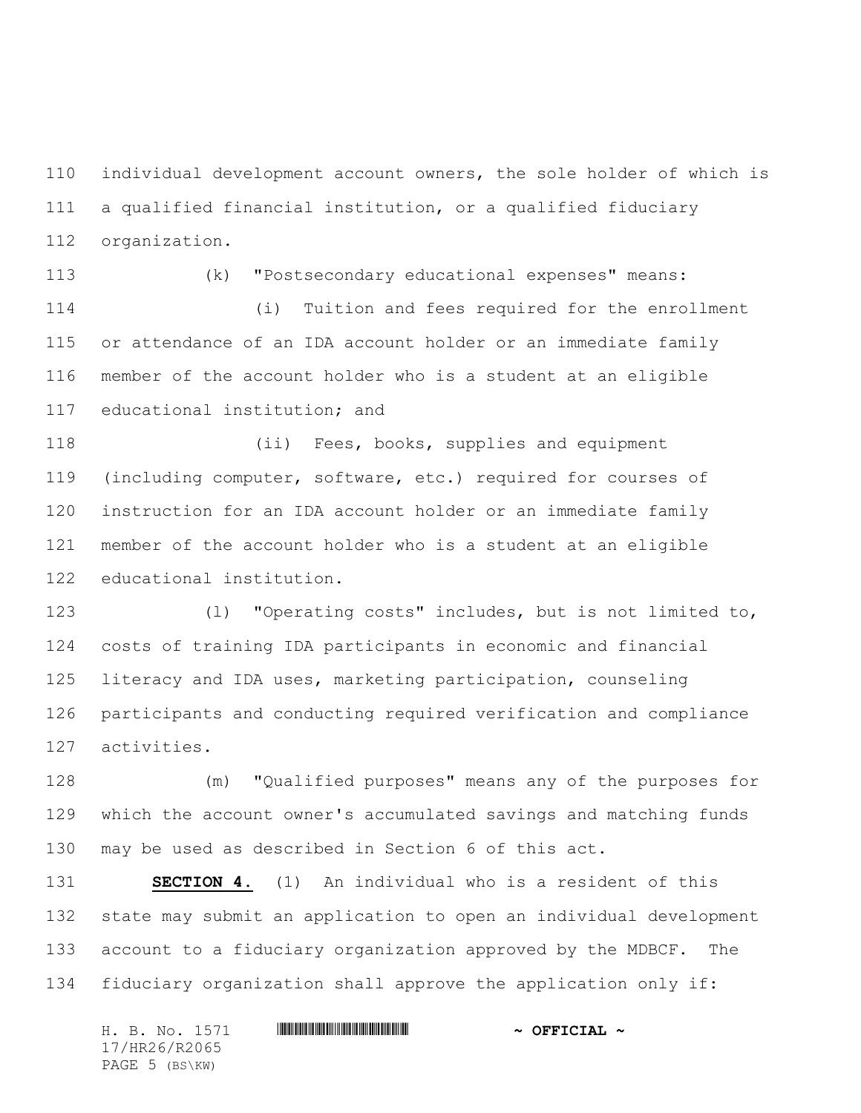individual development account owners, the sole holder of which is a qualified financial institution, or a qualified fiduciary organization.

 (k) "Postsecondary educational expenses" means: (i) Tuition and fees required for the enrollment or attendance of an IDA account holder or an immediate family

 member of the account holder who is a student at an eligible educational institution; and

 (ii) Fees, books, supplies and equipment (including computer, software, etc.) required for courses of instruction for an IDA account holder or an immediate family member of the account holder who is a student at an eligible educational institution.

 (l) "Operating costs" includes, but is not limited to, costs of training IDA participants in economic and financial literacy and IDA uses, marketing participation, counseling participants and conducting required verification and compliance activities.

 (m) "Qualified purposes" means any of the purposes for which the account owner's accumulated savings and matching funds may be used as described in Section 6 of this act.

 **SECTION 4.** (1) An individual who is a resident of this state may submit an application to open an individual development account to a fiduciary organization approved by the MDBCF. The fiduciary organization shall approve the application only if:

| H. B. No. 1571 | $\sim$ OFFICIAL $\sim$ |
|----------------|------------------------|
| 17/HR26/R2065  |                        |
| PAGE 5 (BS\KW) |                        |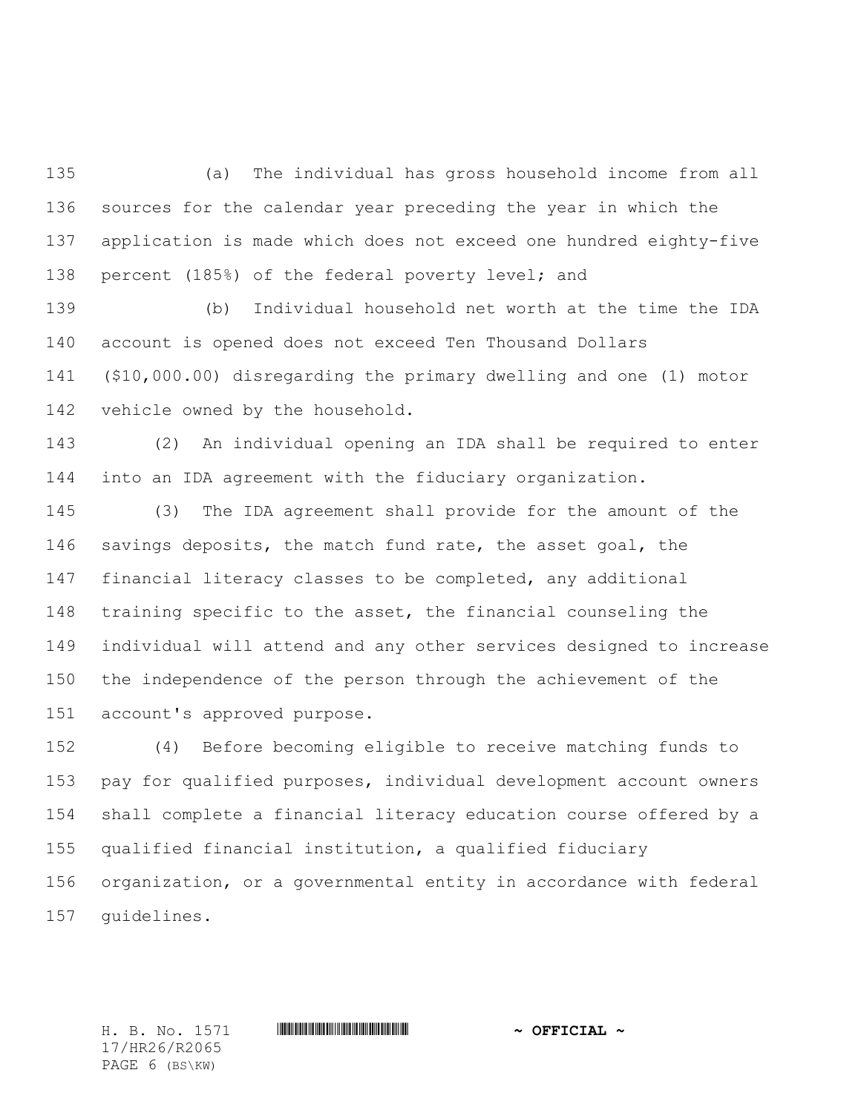(a) The individual has gross household income from all sources for the calendar year preceding the year in which the application is made which does not exceed one hundred eighty-five percent (185%) of the federal poverty level; and

 (b) Individual household net worth at the time the IDA account is opened does not exceed Ten Thousand Dollars (\$10,000.00) disregarding the primary dwelling and one (1) motor vehicle owned by the household.

 (2) An individual opening an IDA shall be required to enter into an IDA agreement with the fiduciary organization.

 (3) The IDA agreement shall provide for the amount of the 146 savings deposits, the match fund rate, the asset goal, the financial literacy classes to be completed, any additional training specific to the asset, the financial counseling the individual will attend and any other services designed to increase the independence of the person through the achievement of the account's approved purpose.

 (4) Before becoming eligible to receive matching funds to pay for qualified purposes, individual development account owners shall complete a financial literacy education course offered by a qualified financial institution, a qualified fiduciary organization, or a governmental entity in accordance with federal guidelines.

17/HR26/R2065 PAGE 6 (BS\KW)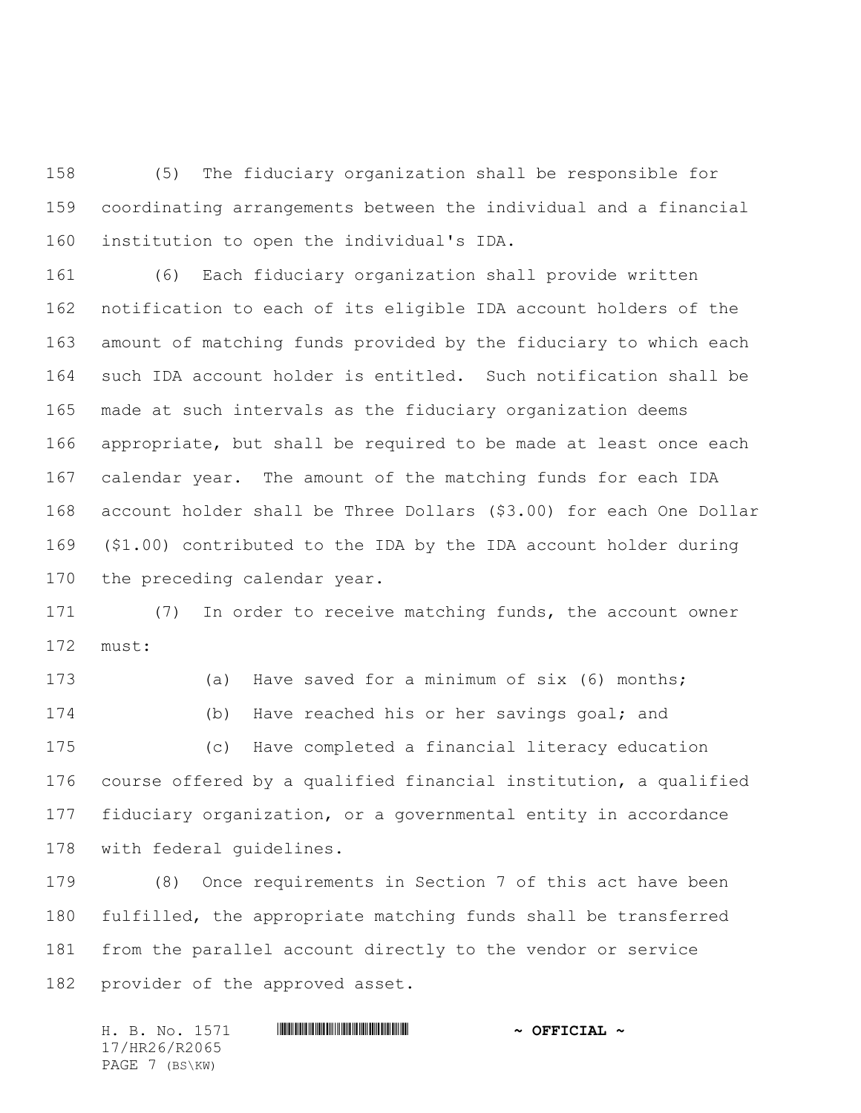(5) The fiduciary organization shall be responsible for coordinating arrangements between the individual and a financial institution to open the individual's IDA.

 (6) Each fiduciary organization shall provide written notification to each of its eligible IDA account holders of the amount of matching funds provided by the fiduciary to which each such IDA account holder is entitled. Such notification shall be made at such intervals as the fiduciary organization deems appropriate, but shall be required to be made at least once each calendar year. The amount of the matching funds for each IDA account holder shall be Three Dollars (\$3.00) for each One Dollar (\$1.00) contributed to the IDA by the IDA account holder during the preceding calendar year.

 (7) In order to receive matching funds, the account owner must:

 (a) Have saved for a minimum of six (6) months; (b) Have reached his or her savings goal; and (c) Have completed a financial literacy education course offered by a qualified financial institution, a qualified fiduciary organization, or a governmental entity in accordance with federal guidelines.

 (8) Once requirements in Section 7 of this act have been fulfilled, the appropriate matching funds shall be transferred from the parallel account directly to the vendor or service provider of the approved asset.

H. B. No. 1571 \*HR26/R2065\* **~ OFFICIAL ~** 17/HR26/R2065 PAGE 7 (BS\KW)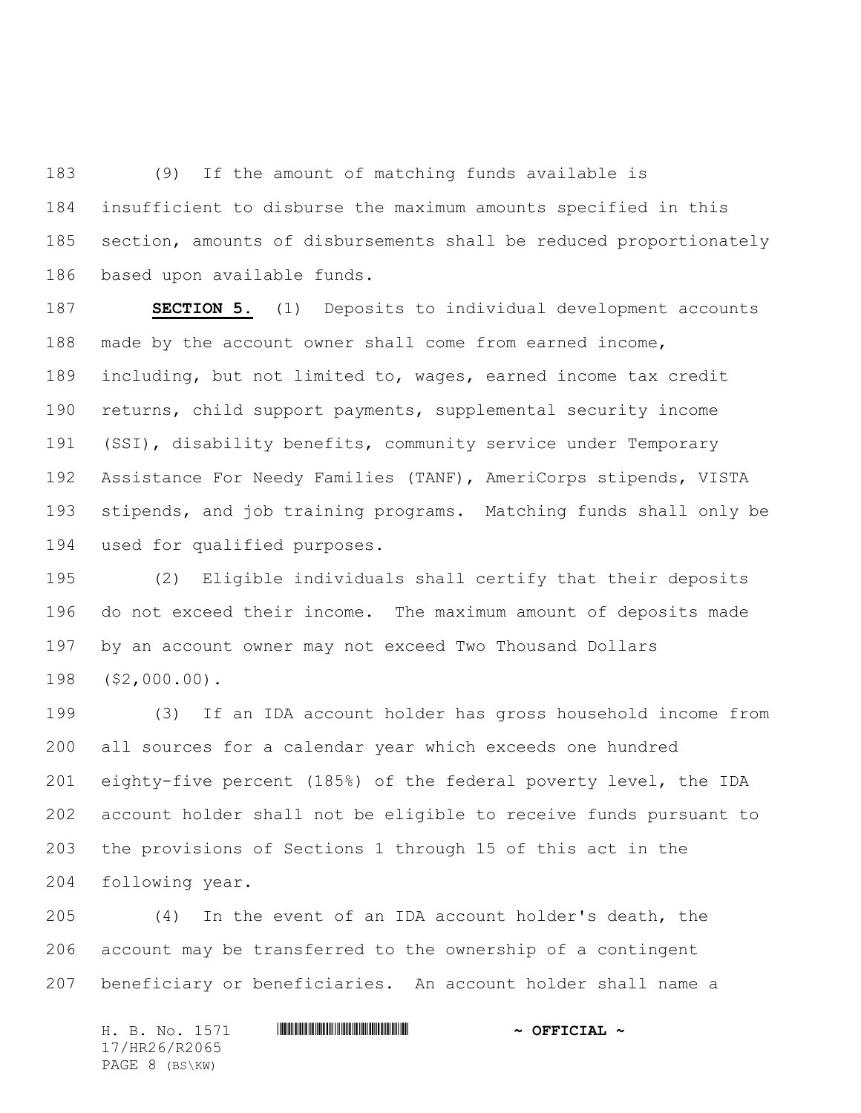(9) If the amount of matching funds available is insufficient to disburse the maximum amounts specified in this section, amounts of disbursements shall be reduced proportionately based upon available funds.

 **SECTION 5.** (1) Deposits to individual development accounts made by the account owner shall come from earned income, including, but not limited to, wages, earned income tax credit returns, child support payments, supplemental security income (SSI), disability benefits, community service under Temporary Assistance For Needy Families (TANF), AmeriCorps stipends, VISTA stipends, and job training programs. Matching funds shall only be used for qualified purposes.

 (2) Eligible individuals shall certify that their deposits do not exceed their income. The maximum amount of deposits made by an account owner may not exceed Two Thousand Dollars (\$2,000.00).

 (3) If an IDA account holder has gross household income from all sources for a calendar year which exceeds one hundred eighty-five percent (185%) of the federal poverty level, the IDA account holder shall not be eligible to receive funds pursuant to the provisions of Sections 1 through 15 of this act in the following year.

 (4) In the event of an IDA account holder's death, the account may be transferred to the ownership of a contingent beneficiary or beneficiaries. An account holder shall name a

H. B. No. 1571 \*HR26/R2065\* **~ OFFICIAL ~** 17/HR26/R2065 PAGE 8 (BS\KW)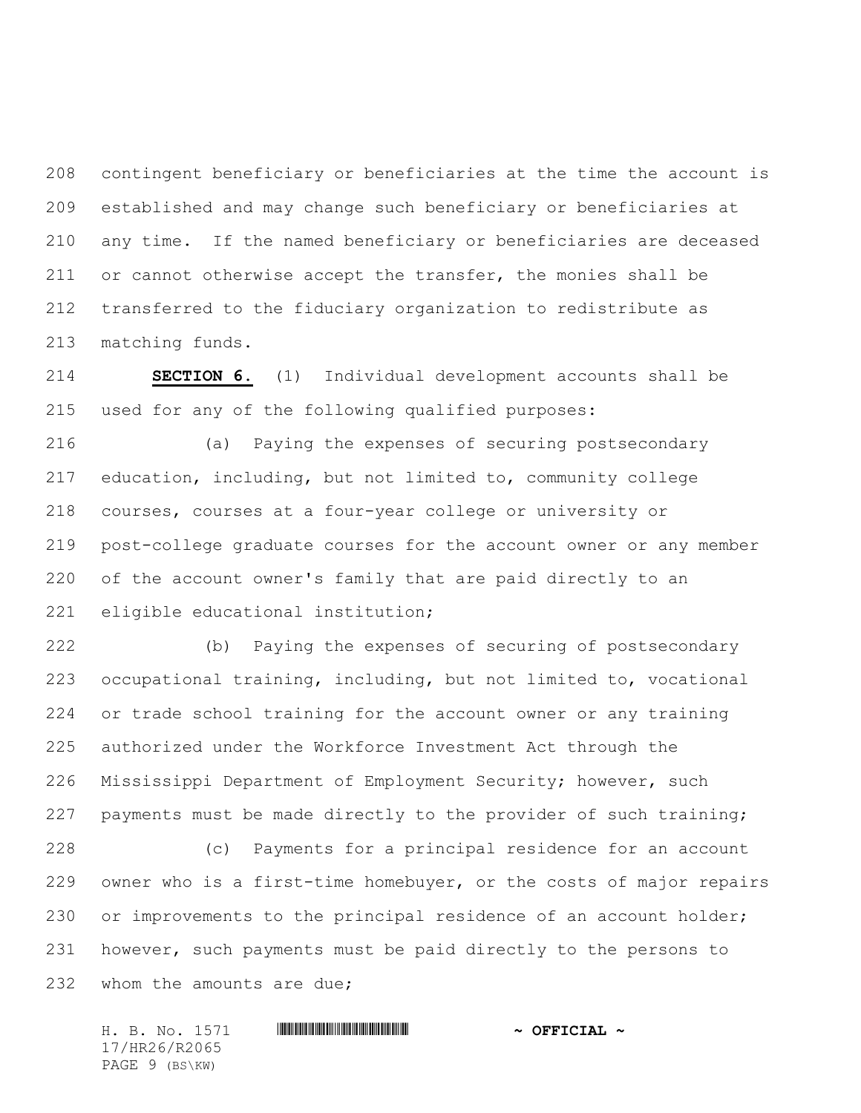contingent beneficiary or beneficiaries at the time the account is established and may change such beneficiary or beneficiaries at any time. If the named beneficiary or beneficiaries are deceased or cannot otherwise accept the transfer, the monies shall be transferred to the fiduciary organization to redistribute as matching funds.

 **SECTION 6.** (1) Individual development accounts shall be used for any of the following qualified purposes:

 (a) Paying the expenses of securing postsecondary education, including, but not limited to, community college courses, courses at a four-year college or university or post-college graduate courses for the account owner or any member of the account owner's family that are paid directly to an eligible educational institution;

 (b) Paying the expenses of securing of postsecondary occupational training, including, but not limited to, vocational or trade school training for the account owner or any training authorized under the Workforce Investment Act through the Mississippi Department of Employment Security; however, such payments must be made directly to the provider of such training; (c) Payments for a principal residence for an account

 owner who is a first-time homebuyer, or the costs of major repairs or improvements to the principal residence of an account holder; however, such payments must be paid directly to the persons to 232 whom the amounts are due;

H. B. No. 1571 \*HR26/R2065\* **~ OFFICIAL ~** 17/HR26/R2065 PAGE 9 (BS\KW)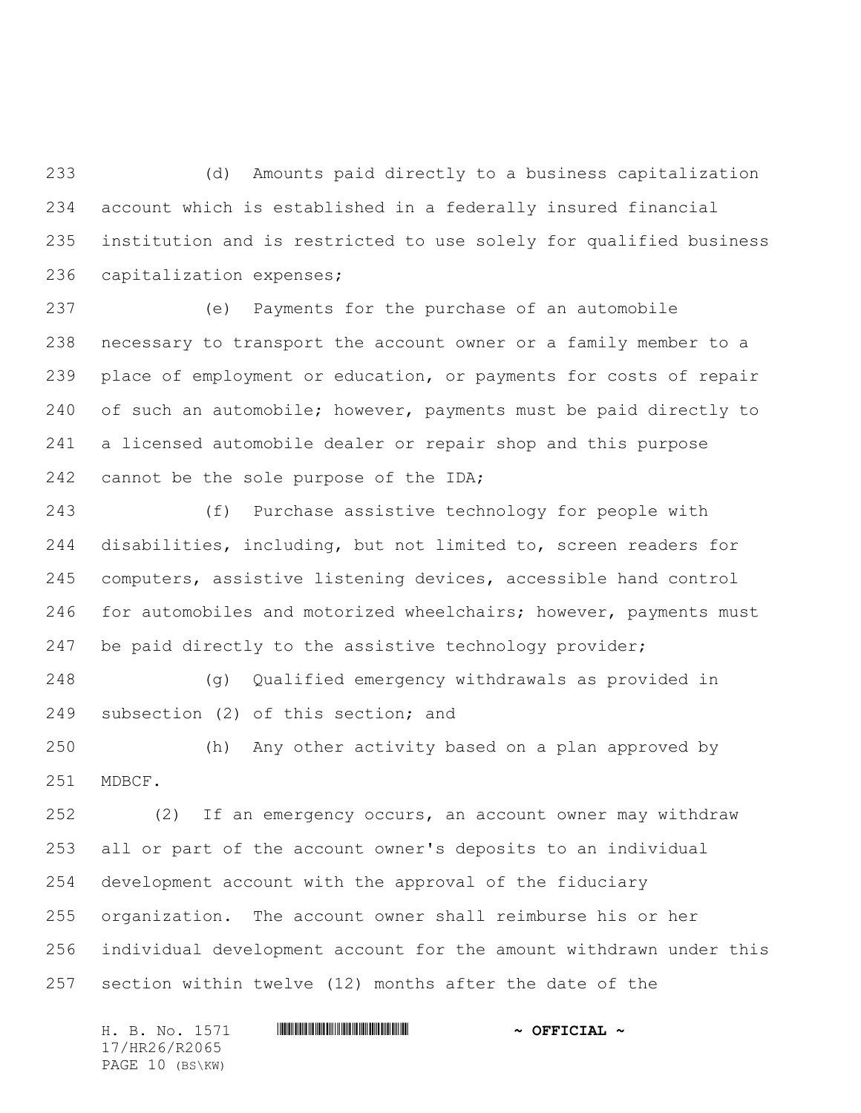(d) Amounts paid directly to a business capitalization account which is established in a federally insured financial institution and is restricted to use solely for qualified business capitalization expenses;

 (e) Payments for the purchase of an automobile necessary to transport the account owner or a family member to a place of employment or education, or payments for costs of repair of such an automobile; however, payments must be paid directly to a licensed automobile dealer or repair shop and this purpose 242 cannot be the sole purpose of the IDA;

 (f) Purchase assistive technology for people with disabilities, including, but not limited to, screen readers for computers, assistive listening devices, accessible hand control 246 for automobiles and motorized wheelchairs; however, payments must be paid directly to the assistive technology provider;

 (g) Qualified emergency withdrawals as provided in subsection (2) of this section; and

 (h) Any other activity based on a plan approved by MDBCF.

 (2) If an emergency occurs, an account owner may withdraw all or part of the account owner's deposits to an individual development account with the approval of the fiduciary organization. The account owner shall reimburse his or her individual development account for the amount withdrawn under this section within twelve (12) months after the date of the

H. B. No. 1571 \*HR26/R2065\* **~ OFFICIAL ~** 17/HR26/R2065 PAGE 10 (BS\KW)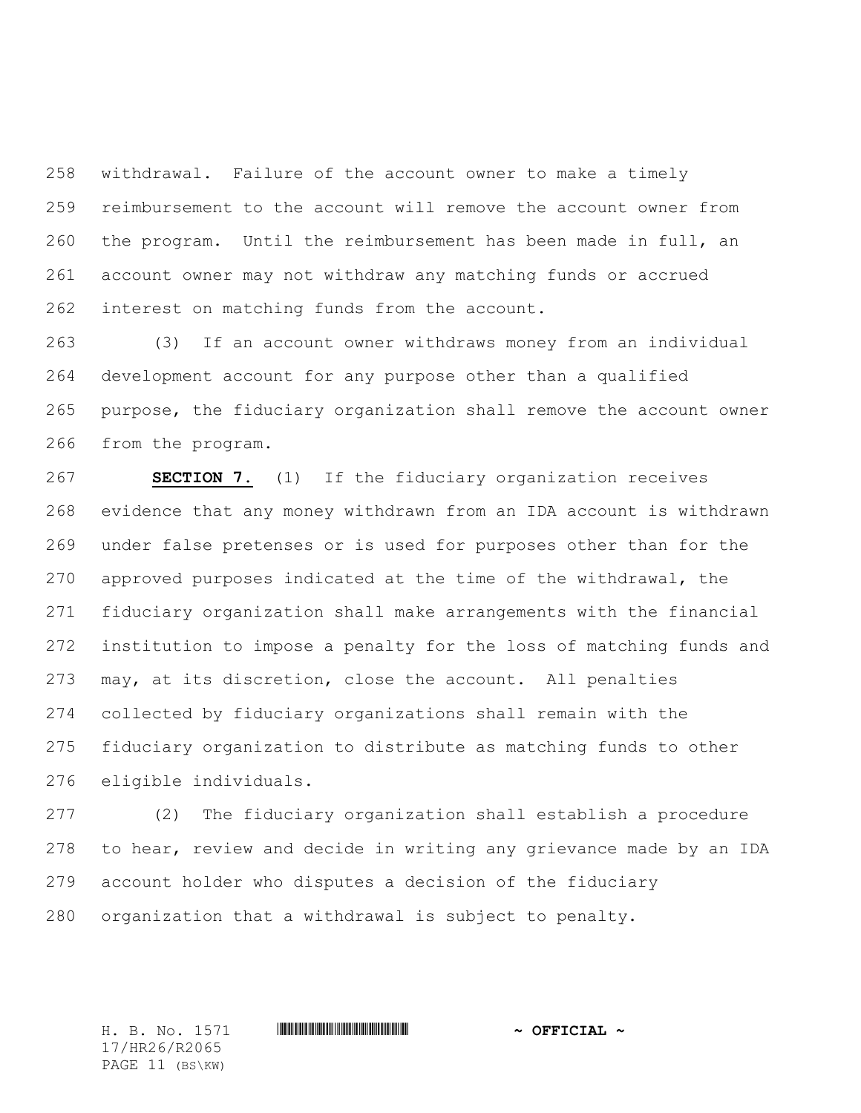withdrawal. Failure of the account owner to make a timely reimbursement to the account will remove the account owner from the program. Until the reimbursement has been made in full, an account owner may not withdraw any matching funds or accrued interest on matching funds from the account.

 (3) If an account owner withdraws money from an individual development account for any purpose other than a qualified purpose, the fiduciary organization shall remove the account owner from the program.

 **SECTION 7.** (1) If the fiduciary organization receives evidence that any money withdrawn from an IDA account is withdrawn under false pretenses or is used for purposes other than for the approved purposes indicated at the time of the withdrawal, the fiduciary organization shall make arrangements with the financial institution to impose a penalty for the loss of matching funds and may, at its discretion, close the account. All penalties collected by fiduciary organizations shall remain with the fiduciary organization to distribute as matching funds to other eligible individuals.

 (2) The fiduciary organization shall establish a procedure to hear, review and decide in writing any grievance made by an IDA account holder who disputes a decision of the fiduciary organization that a withdrawal is subject to penalty.

17/HR26/R2065 PAGE 11 (BS\KW)

H. B. No. 1571 **. AND AND ADDED**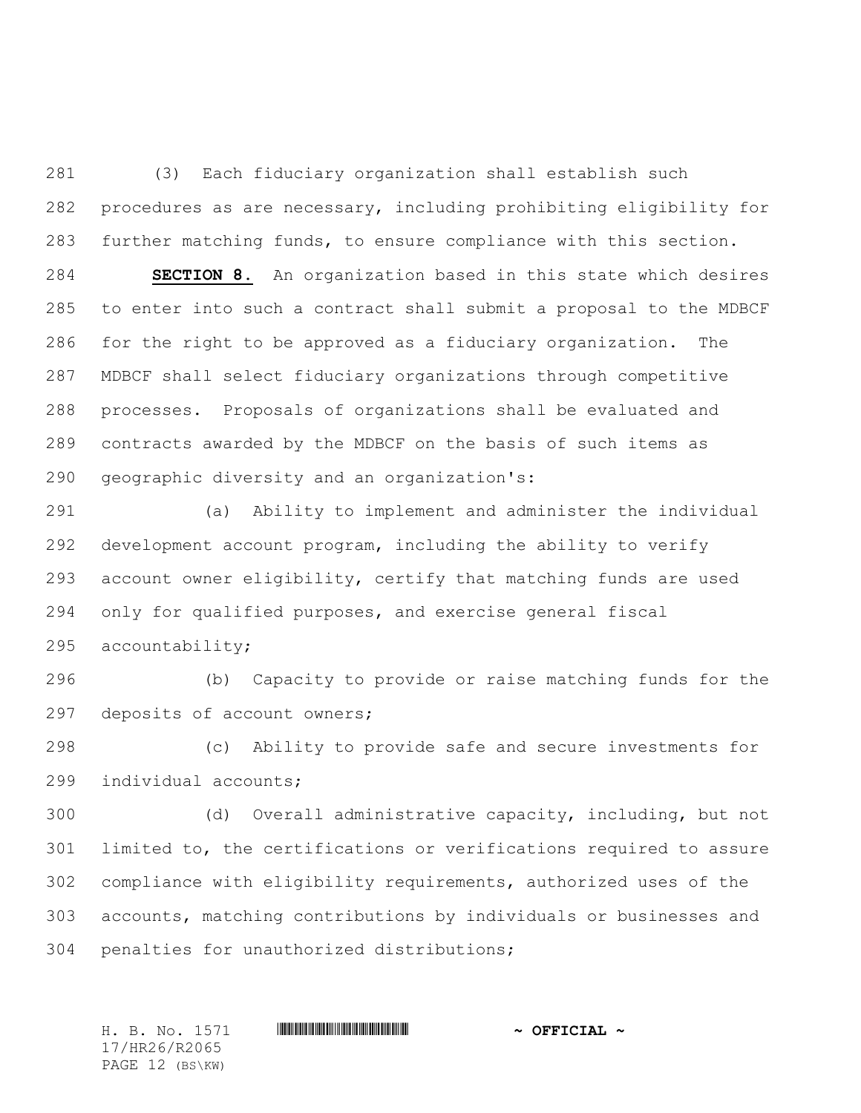(3) Each fiduciary organization shall establish such procedures as are necessary, including prohibiting eligibility for further matching funds, to ensure compliance with this section.

 **SECTION 8.** An organization based in this state which desires to enter into such a contract shall submit a proposal to the MDBCF for the right to be approved as a fiduciary organization. The MDBCF shall select fiduciary organizations through competitive processes. Proposals of organizations shall be evaluated and contracts awarded by the MDBCF on the basis of such items as geographic diversity and an organization's:

 (a) Ability to implement and administer the individual development account program, including the ability to verify account owner eligibility, certify that matching funds are used only for qualified purposes, and exercise general fiscal accountability;

 (b) Capacity to provide or raise matching funds for the deposits of account owners;

 (c) Ability to provide safe and secure investments for individual accounts;

 (d) Overall administrative capacity, including, but not limited to, the certifications or verifications required to assure compliance with eligibility requirements, authorized uses of the accounts, matching contributions by individuals or businesses and penalties for unauthorized distributions;

17/HR26/R2065 PAGE 12 (BS\KW)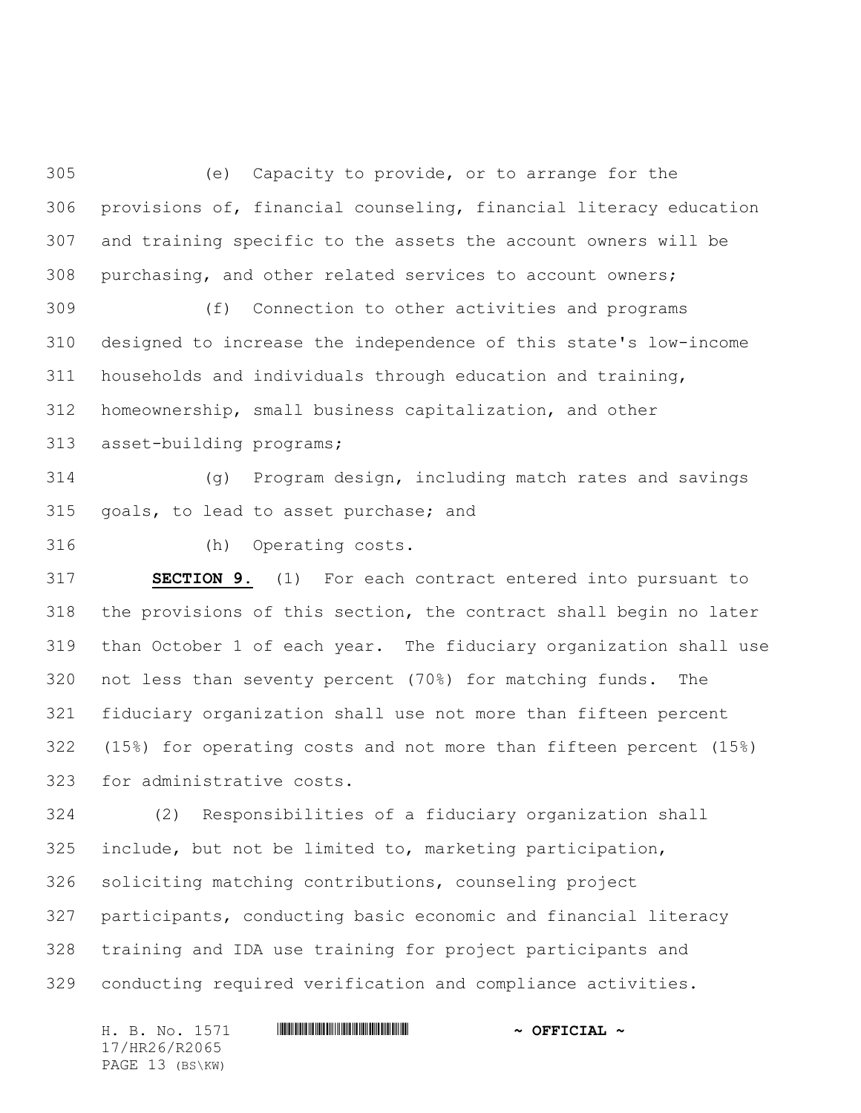(e) Capacity to provide, or to arrange for the provisions of, financial counseling, financial literacy education and training specific to the assets the account owners will be purchasing, and other related services to account owners;

 (f) Connection to other activities and programs designed to increase the independence of this state's low-income households and individuals through education and training, homeownership, small business capitalization, and other

asset-building programs;

 (g) Program design, including match rates and savings goals, to lead to asset purchase; and

(h) Operating costs.

 **SECTION 9.** (1) For each contract entered into pursuant to the provisions of this section, the contract shall begin no later than October 1 of each year. The fiduciary organization shall use not less than seventy percent (70%) for matching funds. The fiduciary organization shall use not more than fifteen percent (15%) for operating costs and not more than fifteen percent (15%) for administrative costs.

 (2) Responsibilities of a fiduciary organization shall include, but not be limited to, marketing participation, soliciting matching contributions, counseling project participants, conducting basic economic and financial literacy training and IDA use training for project participants and conducting required verification and compliance activities.

H. B. No. 1571 **HRACH RACE AND ALL AND A OFFICIAL ~** 17/HR26/R2065 PAGE 13 (BS\KW)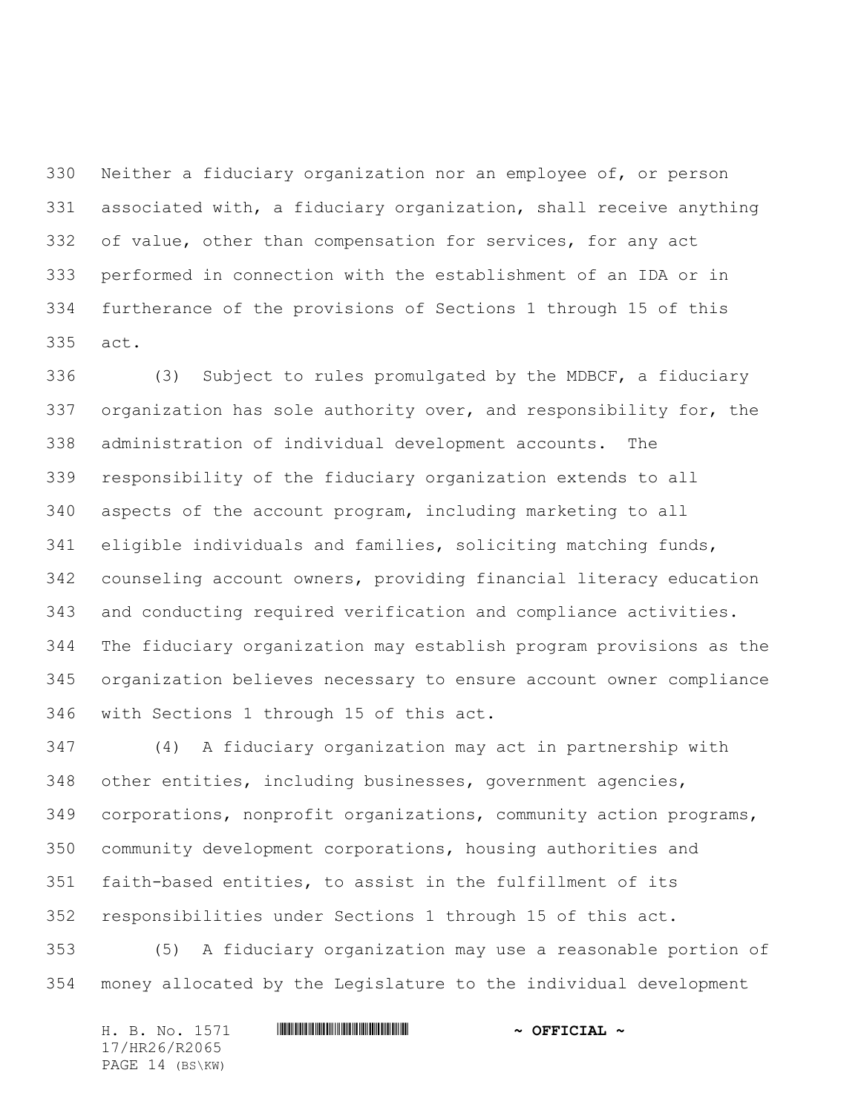Neither a fiduciary organization nor an employee of, or person associated with, a fiduciary organization, shall receive anything of value, other than compensation for services, for any act performed in connection with the establishment of an IDA or in furtherance of the provisions of Sections 1 through 15 of this act.

 (3) Subject to rules promulgated by the MDBCF, a fiduciary organization has sole authority over, and responsibility for, the administration of individual development accounts. The responsibility of the fiduciary organization extends to all aspects of the account program, including marketing to all eligible individuals and families, soliciting matching funds, counseling account owners, providing financial literacy education and conducting required verification and compliance activities. The fiduciary organization may establish program provisions as the organization believes necessary to ensure account owner compliance with Sections 1 through 15 of this act.

 (4) A fiduciary organization may act in partnership with other entities, including businesses, government agencies, corporations, nonprofit organizations, community action programs, community development corporations, housing authorities and faith-based entities, to assist in the fulfillment of its responsibilities under Sections 1 through 15 of this act.

 (5) A fiduciary organization may use a reasonable portion of money allocated by the Legislature to the individual development

|                 |  | H. B. No. 1571 |  | $\sim$ OFFICIAL $\sim$ |  |
|-----------------|--|----------------|--|------------------------|--|
| 17/HR26/R2065   |  |                |  |                        |  |
| PAGE 14 (BS\KW) |  |                |  |                        |  |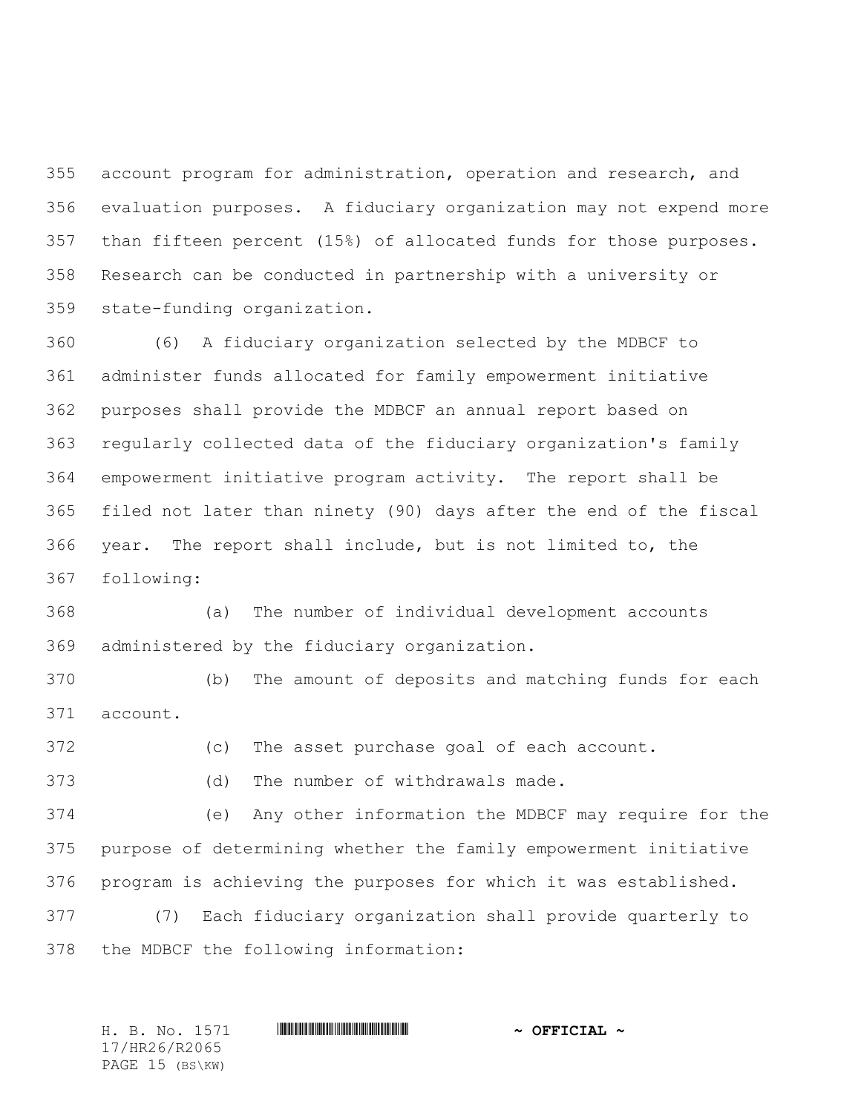account program for administration, operation and research, and evaluation purposes. A fiduciary organization may not expend more than fifteen percent (15%) of allocated funds for those purposes. Research can be conducted in partnership with a university or state-funding organization.

 (6) A fiduciary organization selected by the MDBCF to administer funds allocated for family empowerment initiative purposes shall provide the MDBCF an annual report based on regularly collected data of the fiduciary organization's family empowerment initiative program activity. The report shall be filed not later than ninety (90) days after the end of the fiscal year. The report shall include, but is not limited to, the following:

 (a) The number of individual development accounts administered by the fiduciary organization.

 (b) The amount of deposits and matching funds for each account.

(c) The asset purchase goal of each account.

(d) The number of withdrawals made.

 (e) Any other information the MDBCF may require for the purpose of determining whether the family empowerment initiative program is achieving the purposes for which it was established.

 (7) Each fiduciary organization shall provide quarterly to the MDBCF the following information:

17/HR26/R2065 PAGE 15 (BS\KW)

H. B. No. 1571 **. AND AND ADDED**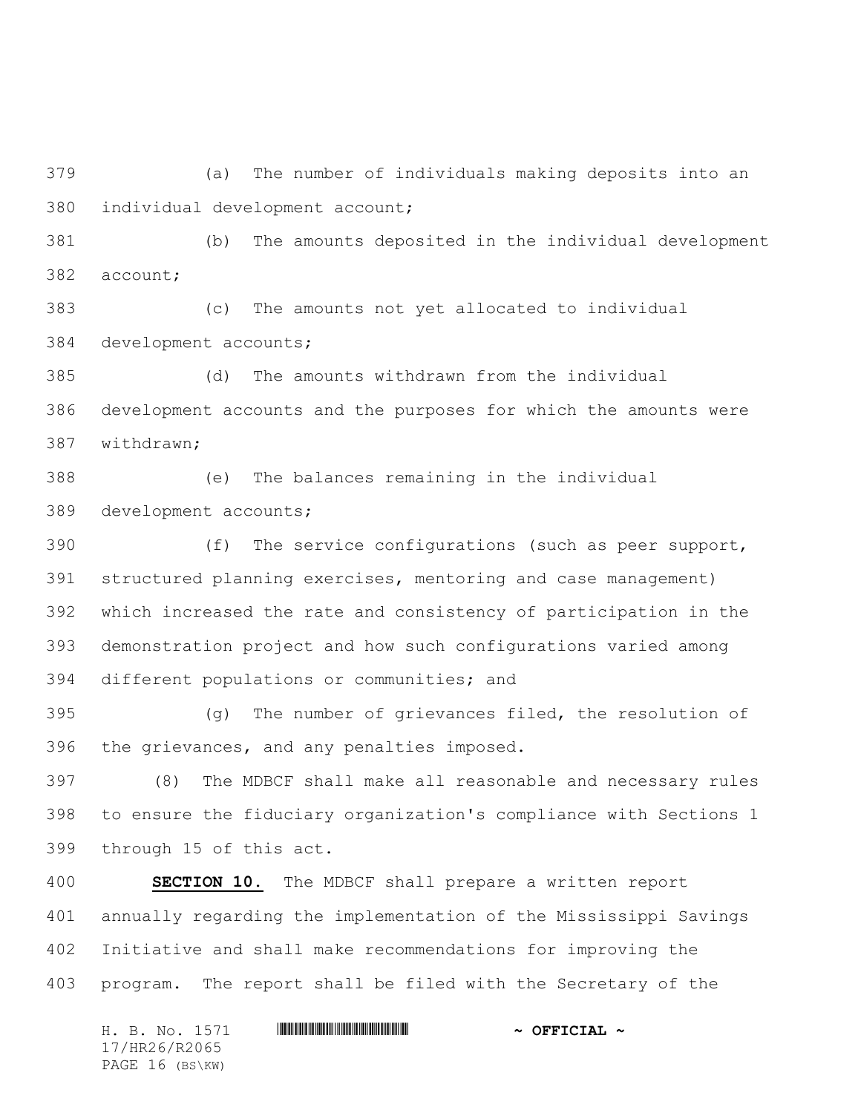(a) The number of individuals making deposits into an individual development account;

 (b) The amounts deposited in the individual development account;

 (c) The amounts not yet allocated to individual development accounts;

 (d) The amounts withdrawn from the individual development accounts and the purposes for which the amounts were withdrawn;

 (e) The balances remaining in the individual development accounts;

 (f) The service configurations (such as peer support, structured planning exercises, mentoring and case management) which increased the rate and consistency of participation in the demonstration project and how such configurations varied among different populations or communities; and

 (g) The number of grievances filed, the resolution of the grievances, and any penalties imposed.

 (8) The MDBCF shall make all reasonable and necessary rules to ensure the fiduciary organization's compliance with Sections 1 through 15 of this act.

 **SECTION 10.** The MDBCF shall prepare a written report annually regarding the implementation of the Mississippi Savings Initiative and shall make recommendations for improving the program. The report shall be filed with the Secretary of the

H. B. No. 1571 \*HR26/R2065\* **~ OFFICIAL ~** 17/HR26/R2065 PAGE 16 (BS\KW)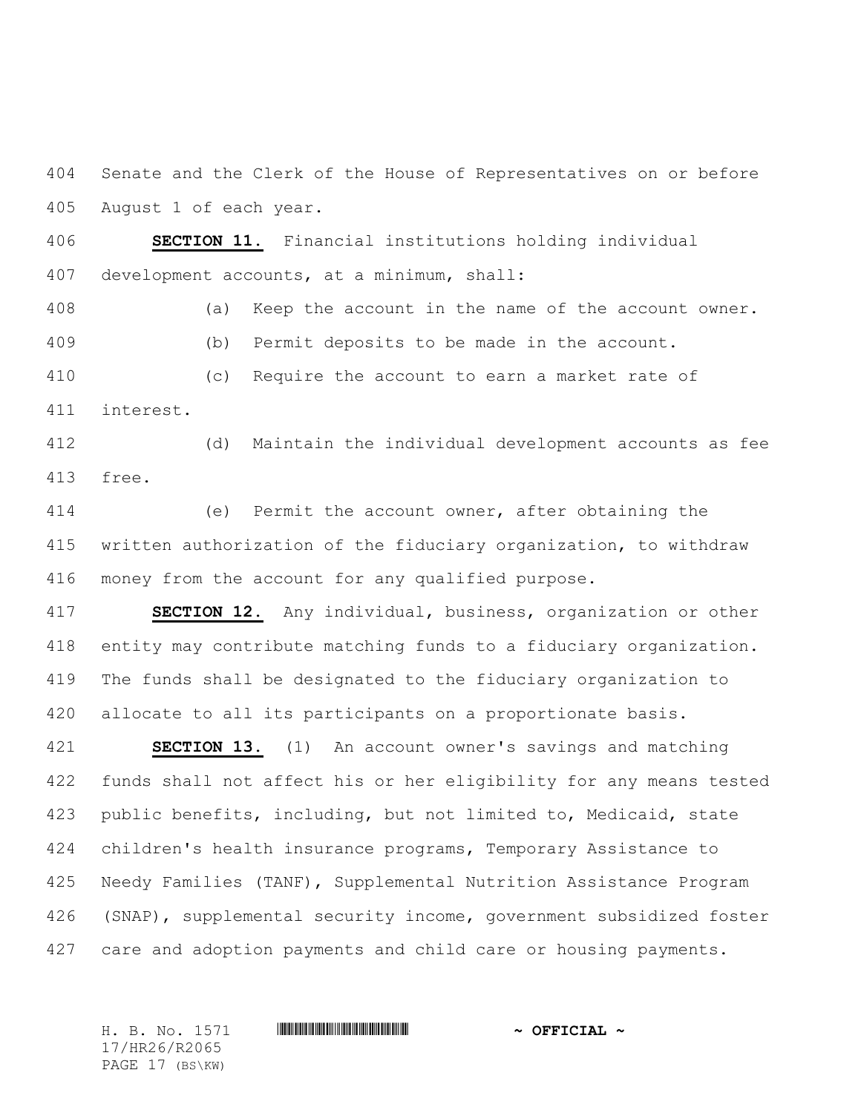Senate and the Clerk of the House of Representatives on or before August 1 of each year.

 **SECTION 11.** Financial institutions holding individual development accounts, at a minimum, shall:

 (a) Keep the account in the name of the account owner. (b) Permit deposits to be made in the account. (c) Require the account to earn a market rate of

interest.

 (d) Maintain the individual development accounts as fee free.

 (e) Permit the account owner, after obtaining the written authorization of the fiduciary organization, to withdraw money from the account for any qualified purpose.

 **SECTION 12.** Any individual, business, organization or other entity may contribute matching funds to a fiduciary organization. The funds shall be designated to the fiduciary organization to allocate to all its participants on a proportionate basis.

 **SECTION 13.** (1) An account owner's savings and matching funds shall not affect his or her eligibility for any means tested public benefits, including, but not limited to, Medicaid, state children's health insurance programs, Temporary Assistance to Needy Families (TANF), Supplemental Nutrition Assistance Program (SNAP), supplemental security income, government subsidized foster care and adoption payments and child care or housing payments.

17/HR26/R2065 PAGE 17 (BS\KW)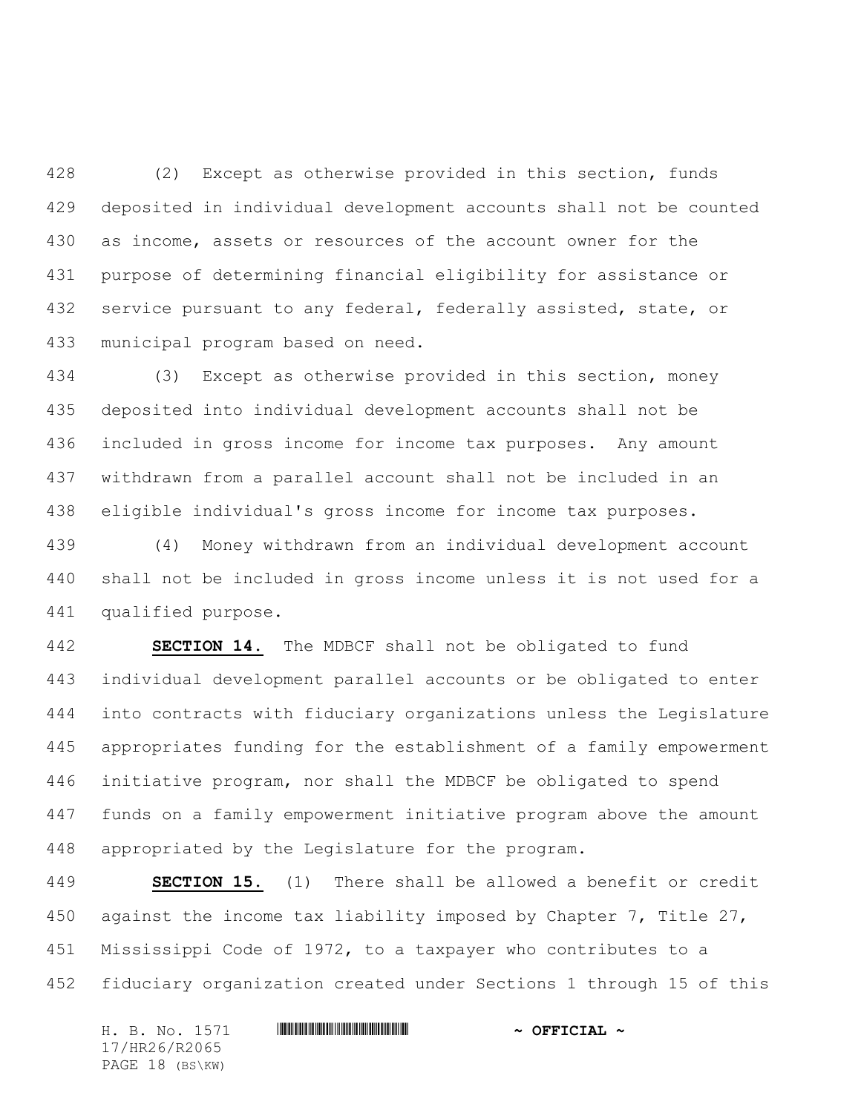(2) Except as otherwise provided in this section, funds deposited in individual development accounts shall not be counted as income, assets or resources of the account owner for the purpose of determining financial eligibility for assistance or 432 service pursuant to any federal, federally assisted, state, or municipal program based on need.

 (3) Except as otherwise provided in this section, money deposited into individual development accounts shall not be included in gross income for income tax purposes. Any amount withdrawn from a parallel account shall not be included in an eligible individual's gross income for income tax purposes.

 (4) Money withdrawn from an individual development account shall not be included in gross income unless it is not used for a qualified purpose.

 **SECTION 14.** The MDBCF shall not be obligated to fund individual development parallel accounts or be obligated to enter into contracts with fiduciary organizations unless the Legislature appropriates funding for the establishment of a family empowerment initiative program, nor shall the MDBCF be obligated to spend funds on a family empowerment initiative program above the amount appropriated by the Legislature for the program.

 **SECTION 15.** (1) There shall be allowed a benefit or credit against the income tax liability imposed by Chapter 7, Title 27, Mississippi Code of 1972, to a taxpayer who contributes to a fiduciary organization created under Sections 1 through 15 of this

H. B. No. 1571 \*HR26/R2065\* **~ OFFICIAL ~** 17/HR26/R2065 PAGE 18 (BS\KW)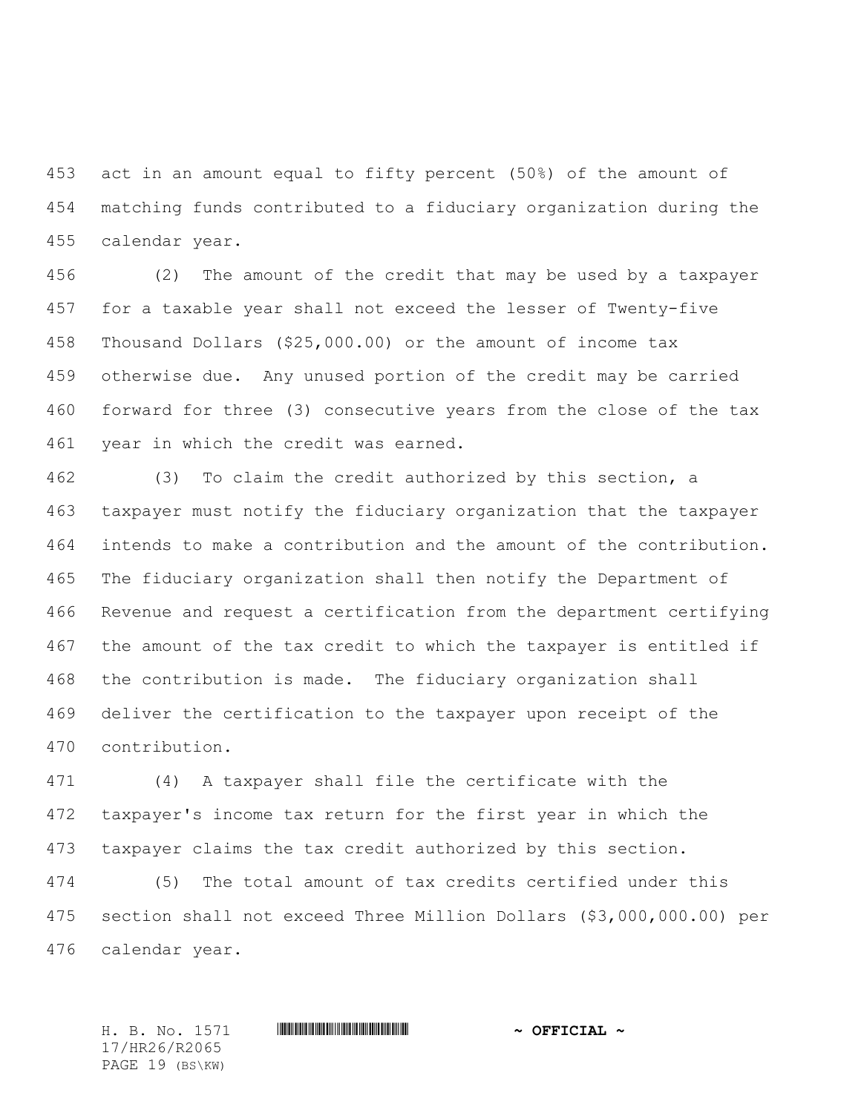act in an amount equal to fifty percent (50%) of the amount of matching funds contributed to a fiduciary organization during the calendar year.

 (2) The amount of the credit that may be used by a taxpayer for a taxable year shall not exceed the lesser of Twenty-five Thousand Dollars (\$25,000.00) or the amount of income tax otherwise due. Any unused portion of the credit may be carried forward for three (3) consecutive years from the close of the tax year in which the credit was earned.

 (3) To claim the credit authorized by this section, a taxpayer must notify the fiduciary organization that the taxpayer intends to make a contribution and the amount of the contribution. The fiduciary organization shall then notify the Department of Revenue and request a certification from the department certifying the amount of the tax credit to which the taxpayer is entitled if the contribution is made. The fiduciary organization shall deliver the certification to the taxpayer upon receipt of the contribution.

 (4) A taxpayer shall file the certificate with the taxpayer's income tax return for the first year in which the taxpayer claims the tax credit authorized by this section.

 (5) The total amount of tax credits certified under this section shall not exceed Three Million Dollars (\$3,000,000.00) per calendar year.

17/HR26/R2065 PAGE 19 (BS\KW)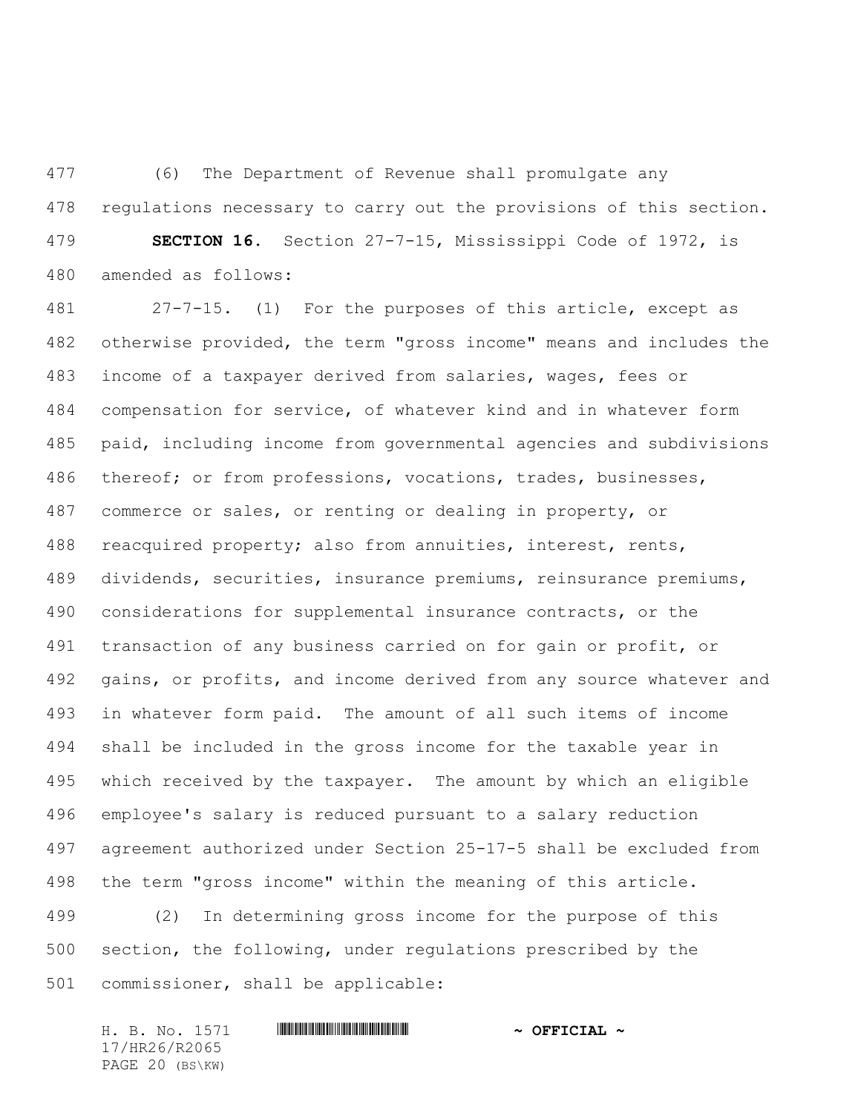(6) The Department of Revenue shall promulgate any regulations necessary to carry out the provisions of this section. **SECTION 16.** Section 27-7-15, Mississippi Code of 1972, is amended as follows:

 27-7-15. (1) For the purposes of this article, except as otherwise provided, the term "gross income" means and includes the income of a taxpayer derived from salaries, wages, fees or compensation for service, of whatever kind and in whatever form paid, including income from governmental agencies and subdivisions thereof; or from professions, vocations, trades, businesses, commerce or sales, or renting or dealing in property, or reacquired property; also from annuities, interest, rents, dividends, securities, insurance premiums, reinsurance premiums, considerations for supplemental insurance contracts, or the transaction of any business carried on for gain or profit, or gains, or profits, and income derived from any source whatever and in whatever form paid. The amount of all such items of income shall be included in the gross income for the taxable year in which received by the taxpayer. The amount by which an eligible employee's salary is reduced pursuant to a salary reduction agreement authorized under Section 25-17-5 shall be excluded from the term "gross income" within the meaning of this article. (2) In determining gross income for the purpose of this

 section, the following, under regulations prescribed by the commissioner, shall be applicable:

H. B. No. 1571 \*HR26/R2065\* **~ OFFICIAL ~** 17/HR26/R2065 PAGE 20 (BS\KW)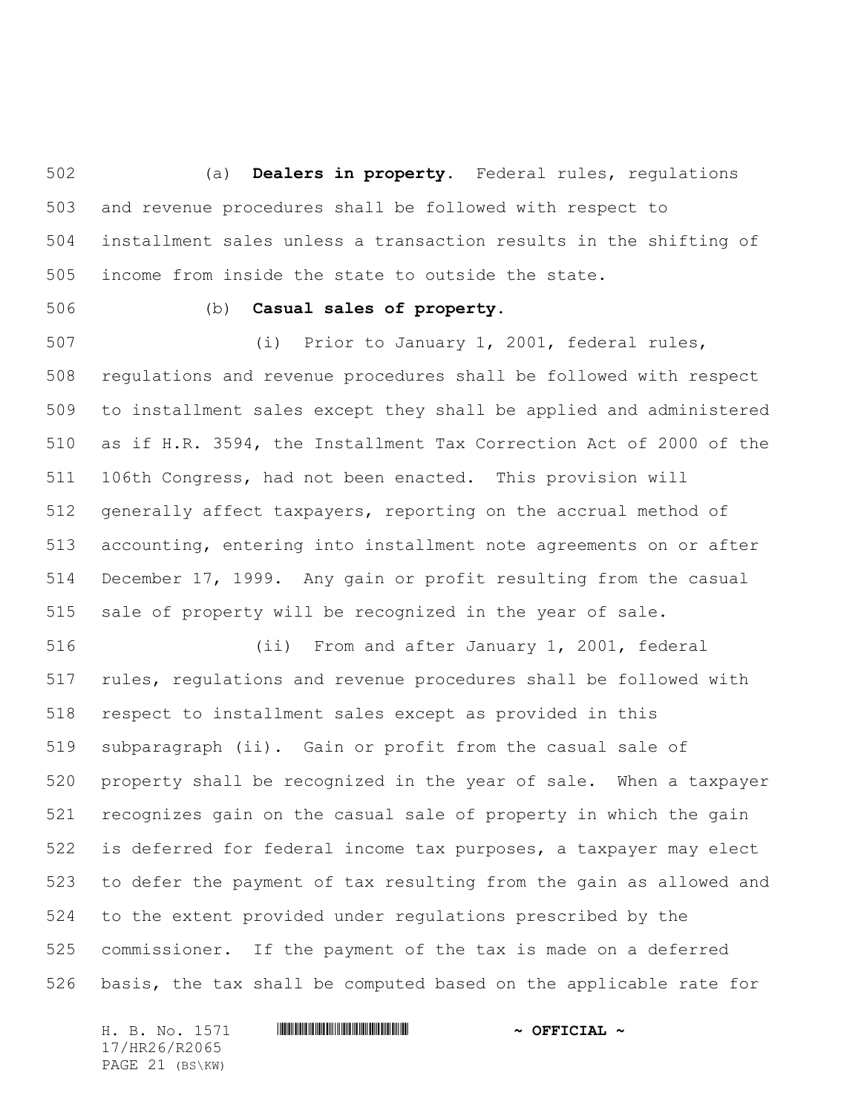(a) **Dealers in property.** Federal rules, regulations and revenue procedures shall be followed with respect to installment sales unless a transaction results in the shifting of income from inside the state to outside the state.

## (b) **Casual sales of property.**

 (i) Prior to January 1, 2001, federal rules, regulations and revenue procedures shall be followed with respect to installment sales except they shall be applied and administered as if H.R. 3594, the Installment Tax Correction Act of 2000 of the 106th Congress, had not been enacted. This provision will generally affect taxpayers, reporting on the accrual method of accounting, entering into installment note agreements on or after December 17, 1999. Any gain or profit resulting from the casual sale of property will be recognized in the year of sale.

 (ii) From and after January 1, 2001, federal rules, regulations and revenue procedures shall be followed with respect to installment sales except as provided in this subparagraph (ii). Gain or profit from the casual sale of property shall be recognized in the year of sale. When a taxpayer recognizes gain on the casual sale of property in which the gain is deferred for federal income tax purposes, a taxpayer may elect to defer the payment of tax resulting from the gain as allowed and to the extent provided under regulations prescribed by the commissioner. If the payment of the tax is made on a deferred basis, the tax shall be computed based on the applicable rate for

17/HR26/R2065 PAGE 21 (BS\KW)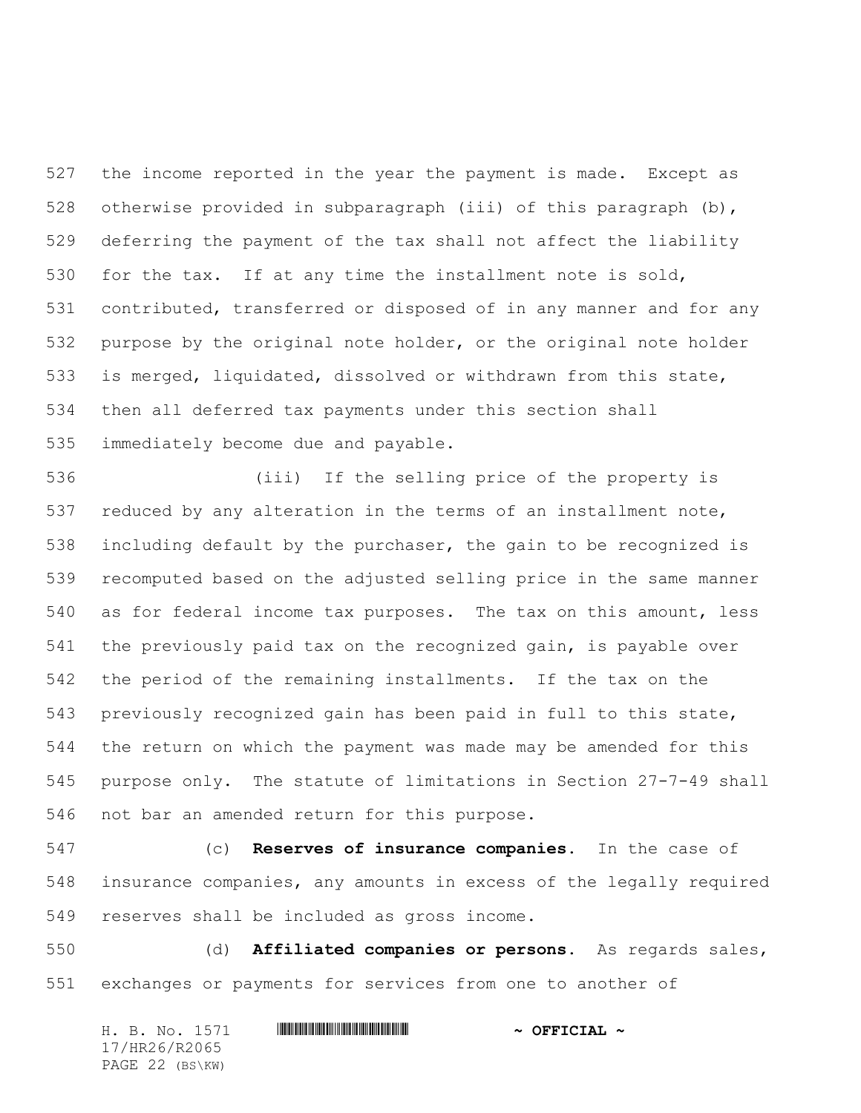the income reported in the year the payment is made. Except as otherwise provided in subparagraph (iii) of this paragraph (b), deferring the payment of the tax shall not affect the liability for the tax. If at any time the installment note is sold, contributed, transferred or disposed of in any manner and for any purpose by the original note holder, or the original note holder is merged, liquidated, dissolved or withdrawn from this state, then all deferred tax payments under this section shall immediately become due and payable.

 (iii) If the selling price of the property is reduced by any alteration in the terms of an installment note, including default by the purchaser, the gain to be recognized is recomputed based on the adjusted selling price in the same manner as for federal income tax purposes. The tax on this amount, less the previously paid tax on the recognized gain, is payable over the period of the remaining installments. If the tax on the previously recognized gain has been paid in full to this state, the return on which the payment was made may be amended for this purpose only. The statute of limitations in Section 27-7-49 shall not bar an amended return for this purpose.

 (c) **Reserves of insurance companies.** In the case of insurance companies, any amounts in excess of the legally required reserves shall be included as gross income.

 (d) **Affiliated companies or persons.** As regards sales, exchanges or payments for services from one to another of

| H. B. No. 1571  | $\sim$ OFFICIAL $\sim$ |
|-----------------|------------------------|
| 17/HR26/R2065   |                        |
| PAGE 22 (BS\KW) |                        |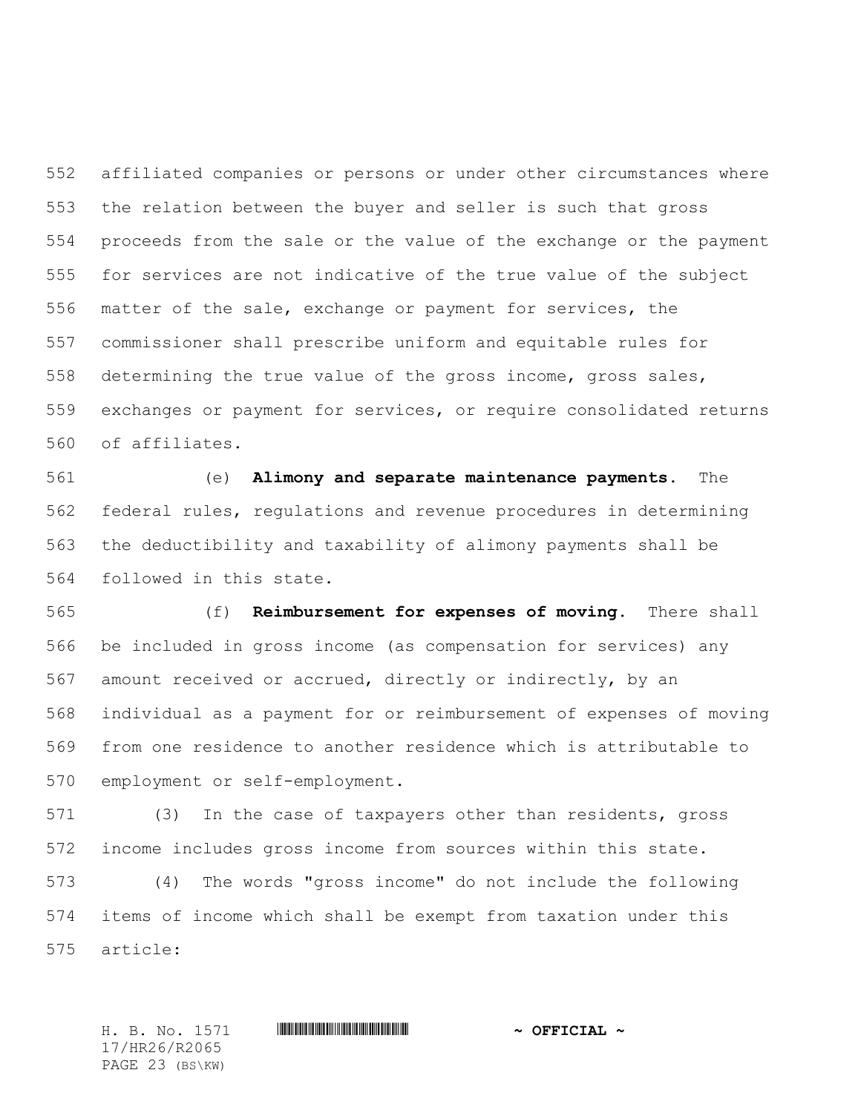affiliated companies or persons or under other circumstances where the relation between the buyer and seller is such that gross proceeds from the sale or the value of the exchange or the payment for services are not indicative of the true value of the subject matter of the sale, exchange or payment for services, the commissioner shall prescribe uniform and equitable rules for determining the true value of the gross income, gross sales, exchanges or payment for services, or require consolidated returns of affiliates.

 (e) **Alimony and separate maintenance payments.** The federal rules, regulations and revenue procedures in determining the deductibility and taxability of alimony payments shall be followed in this state.

 (f) **Reimbursement for expenses of moving.** There shall be included in gross income (as compensation for services) any amount received or accrued, directly or indirectly, by an individual as a payment for or reimbursement of expenses of moving from one residence to another residence which is attributable to employment or self-employment.

 (3) In the case of taxpayers other than residents, gross income includes gross income from sources within this state.

 (4) The words "gross income" do not include the following items of income which shall be exempt from taxation under this article:

17/HR26/R2065 PAGE 23 (BS\KW)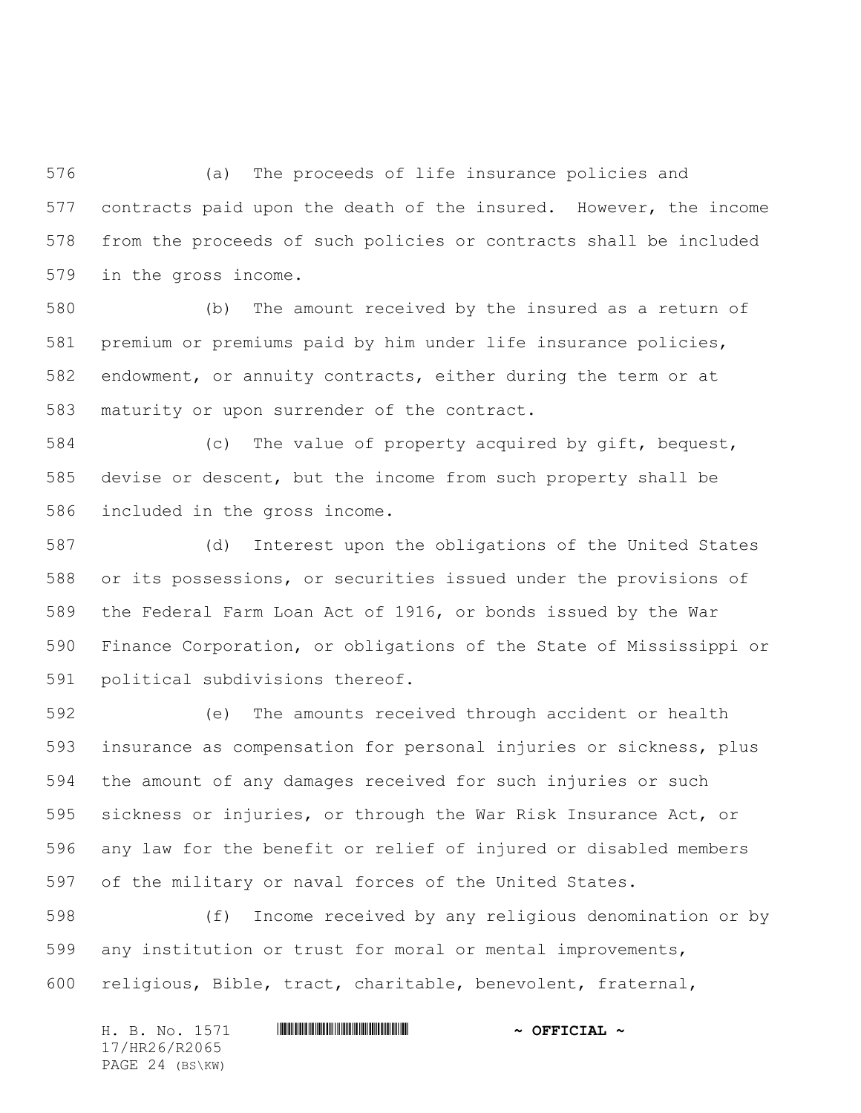(a) The proceeds of life insurance policies and contracts paid upon the death of the insured. However, the income from the proceeds of such policies or contracts shall be included in the gross income.

 (b) The amount received by the insured as a return of premium or premiums paid by him under life insurance policies, endowment, or annuity contracts, either during the term or at maturity or upon surrender of the contract.

 (c) The value of property acquired by gift, bequest, devise or descent, but the income from such property shall be included in the gross income.

 (d) Interest upon the obligations of the United States or its possessions, or securities issued under the provisions of the Federal Farm Loan Act of 1916, or bonds issued by the War Finance Corporation, or obligations of the State of Mississippi or political subdivisions thereof.

 (e) The amounts received through accident or health insurance as compensation for personal injuries or sickness, plus the amount of any damages received for such injuries or such sickness or injuries, or through the War Risk Insurance Act, or any law for the benefit or relief of injured or disabled members of the military or naval forces of the United States.

 (f) Income received by any religious denomination or by any institution or trust for moral or mental improvements, religious, Bible, tract, charitable, benevolent, fraternal,

| H. B. No. 1571  | $\sim$ OFFICIAL $\sim$ |
|-----------------|------------------------|
| 17/HR26/R2065   |                        |
| PAGE 24 (BS\KW) |                        |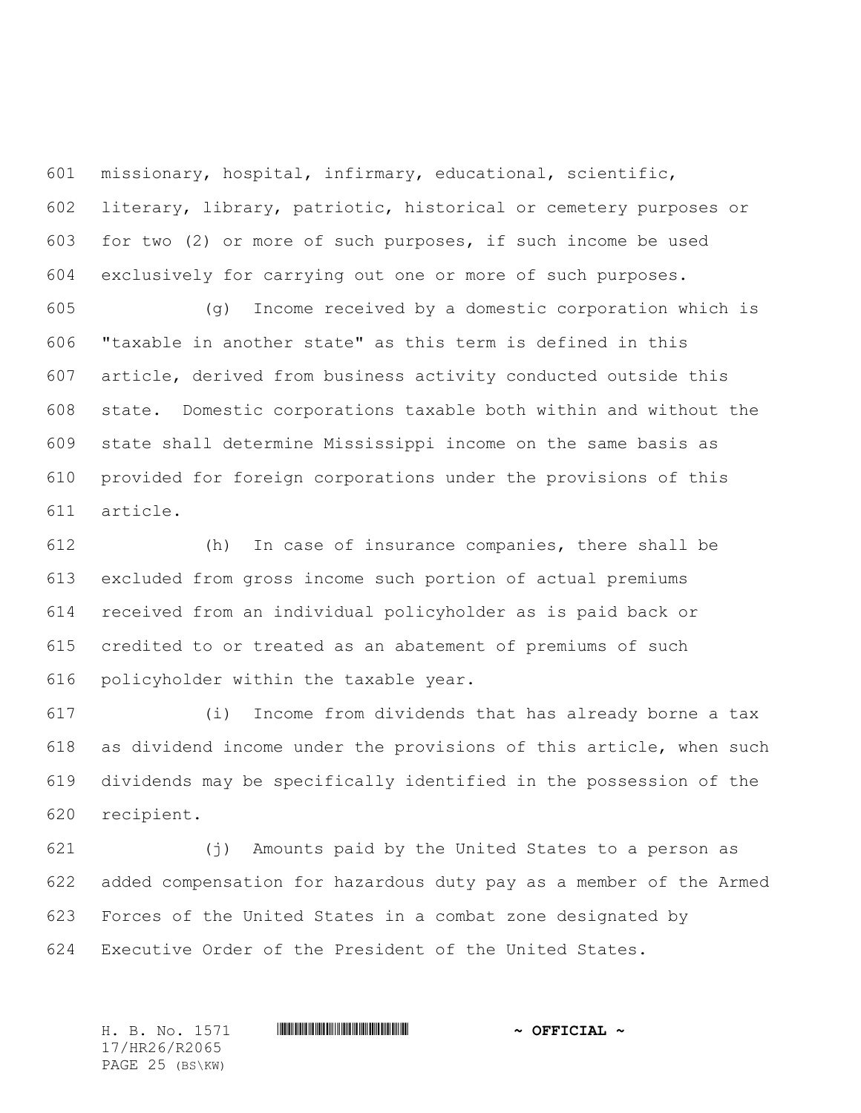missionary, hospital, infirmary, educational, scientific, literary, library, patriotic, historical or cemetery purposes or for two (2) or more of such purposes, if such income be used exclusively for carrying out one or more of such purposes.

 (g) Income received by a domestic corporation which is "taxable in another state" as this term is defined in this article, derived from business activity conducted outside this state. Domestic corporations taxable both within and without the state shall determine Mississippi income on the same basis as provided for foreign corporations under the provisions of this article.

 (h) In case of insurance companies, there shall be excluded from gross income such portion of actual premiums received from an individual policyholder as is paid back or credited to or treated as an abatement of premiums of such policyholder within the taxable year.

 (i) Income from dividends that has already borne a tax as dividend income under the provisions of this article, when such dividends may be specifically identified in the possession of the recipient.

 (j) Amounts paid by the United States to a person as added compensation for hazardous duty pay as a member of the Armed Forces of the United States in a combat zone designated by Executive Order of the President of the United States.

H. B. No. 1571 \*HR26/R2065\* **~ OFFICIAL ~** 17/HR26/R2065 PAGE 25 (BS\KW)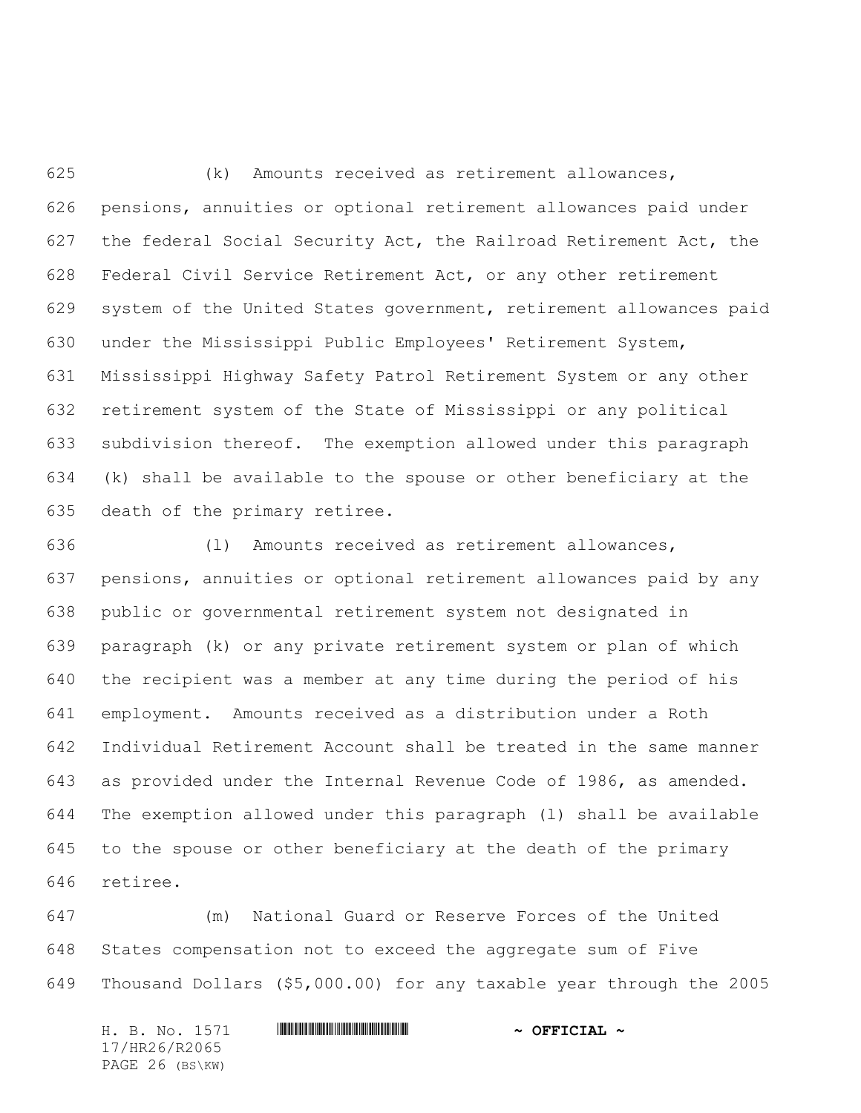(k) Amounts received as retirement allowances, pensions, annuities or optional retirement allowances paid under the federal Social Security Act, the Railroad Retirement Act, the Federal Civil Service Retirement Act, or any other retirement system of the United States government, retirement allowances paid under the Mississippi Public Employees' Retirement System, Mississippi Highway Safety Patrol Retirement System or any other retirement system of the State of Mississippi or any political subdivision thereof. The exemption allowed under this paragraph (k) shall be available to the spouse or other beneficiary at the death of the primary retiree.

 (l) Amounts received as retirement allowances, pensions, annuities or optional retirement allowances paid by any public or governmental retirement system not designated in paragraph (k) or any private retirement system or plan of which the recipient was a member at any time during the period of his employment. Amounts received as a distribution under a Roth Individual Retirement Account shall be treated in the same manner as provided under the Internal Revenue Code of 1986, as amended. The exemption allowed under this paragraph (l) shall be available to the spouse or other beneficiary at the death of the primary retiree.

 (m) National Guard or Reserve Forces of the United States compensation not to exceed the aggregate sum of Five Thousand Dollars (\$5,000.00) for any taxable year through the 2005

| H. B. No. 1571  | $\sim$ OFFICIAL $\sim$ |
|-----------------|------------------------|
| 17/HR26/R2065   |                        |
| PAGE 26 (BS\KW) |                        |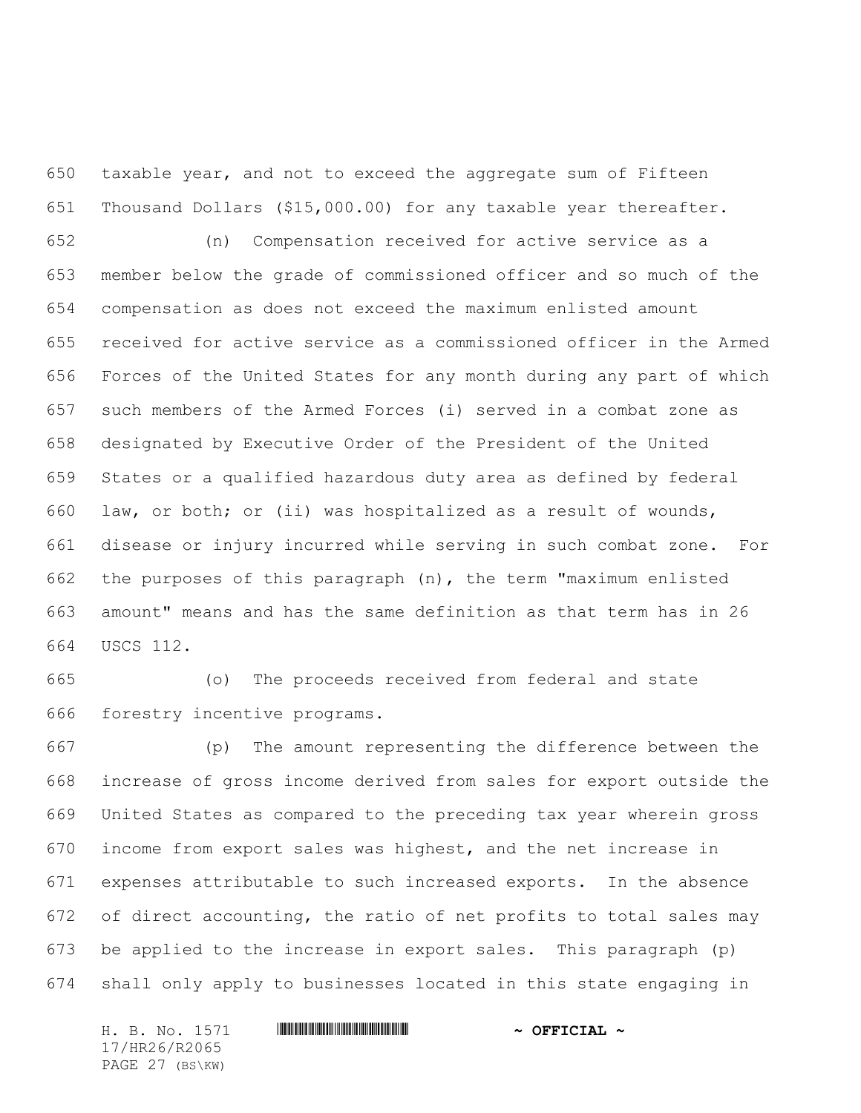taxable year, and not to exceed the aggregate sum of Fifteen Thousand Dollars (\$15,000.00) for any taxable year thereafter.

 (n) Compensation received for active service as a member below the grade of commissioned officer and so much of the compensation as does not exceed the maximum enlisted amount received for active service as a commissioned officer in the Armed Forces of the United States for any month during any part of which such members of the Armed Forces (i) served in a combat zone as designated by Executive Order of the President of the United States or a qualified hazardous duty area as defined by federal law, or both; or (ii) was hospitalized as a result of wounds, disease or injury incurred while serving in such combat zone. For the purposes of this paragraph (n), the term "maximum enlisted amount" means and has the same definition as that term has in 26 USCS 112.

 (o) The proceeds received from federal and state forestry incentive programs.

 (p) The amount representing the difference between the increase of gross income derived from sales for export outside the United States as compared to the preceding tax year wherein gross income from export sales was highest, and the net increase in expenses attributable to such increased exports. In the absence of direct accounting, the ratio of net profits to total sales may be applied to the increase in export sales. This paragraph (p) shall only apply to businesses located in this state engaging in

H. B. No. 1571 \*HR26/R2065\* **~ OFFICIAL ~** 17/HR26/R2065 PAGE 27 (BS\KW)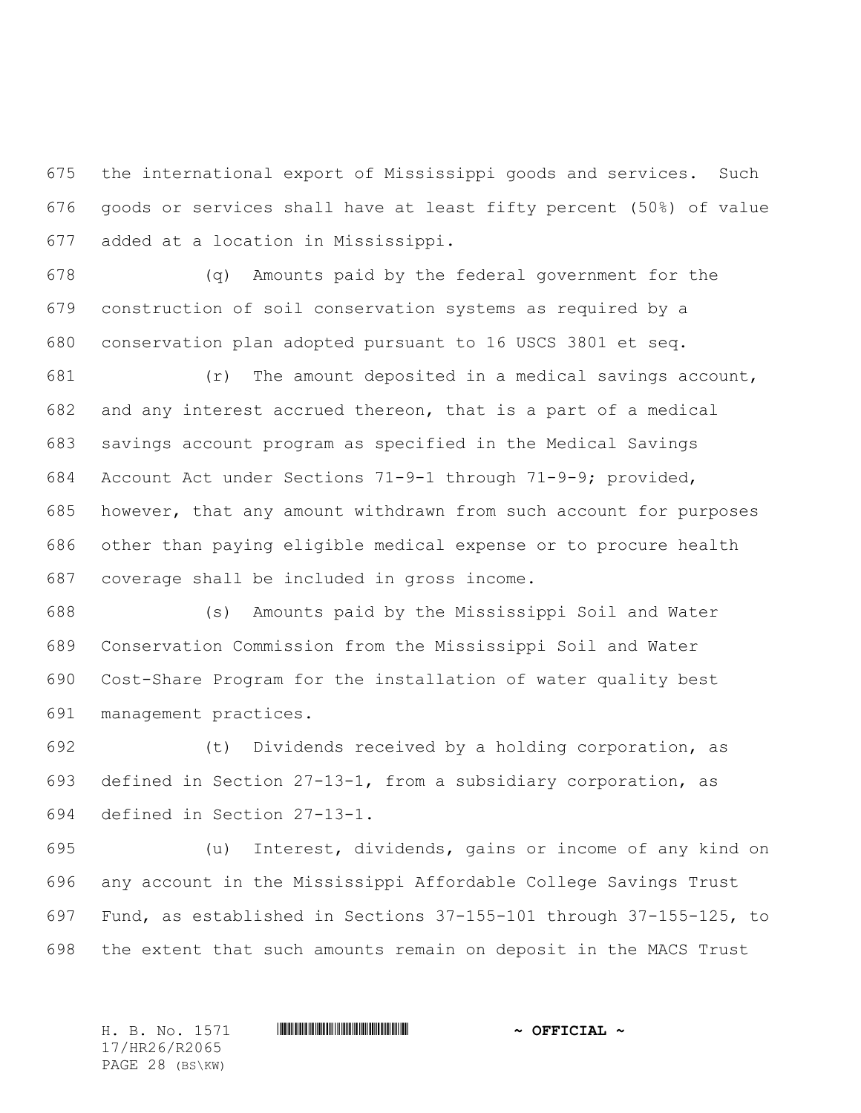the international export of Mississippi goods and services. Such goods or services shall have at least fifty percent (50%) of value added at a location in Mississippi.

 (q) Amounts paid by the federal government for the construction of soil conservation systems as required by a conservation plan adopted pursuant to 16 USCS 3801 et seq.

 (r) The amount deposited in a medical savings account, and any interest accrued thereon, that is a part of a medical savings account program as specified in the Medical Savings Account Act under Sections 71-9-1 through 71-9-9; provided, however, that any amount withdrawn from such account for purposes other than paying eligible medical expense or to procure health coverage shall be included in gross income.

 (s) Amounts paid by the Mississippi Soil and Water Conservation Commission from the Mississippi Soil and Water Cost-Share Program for the installation of water quality best management practices.

 (t) Dividends received by a holding corporation, as defined in Section 27-13-1, from a subsidiary corporation, as defined in Section 27-13-1.

 (u) Interest, dividends, gains or income of any kind on any account in the Mississippi Affordable College Savings Trust Fund, as established in Sections 37-155-101 through 37-155-125, to the extent that such amounts remain on deposit in the MACS Trust

17/HR26/R2065 PAGE 28 (BS\KW)

H. B. No. 1571 **. AND AND ADDED**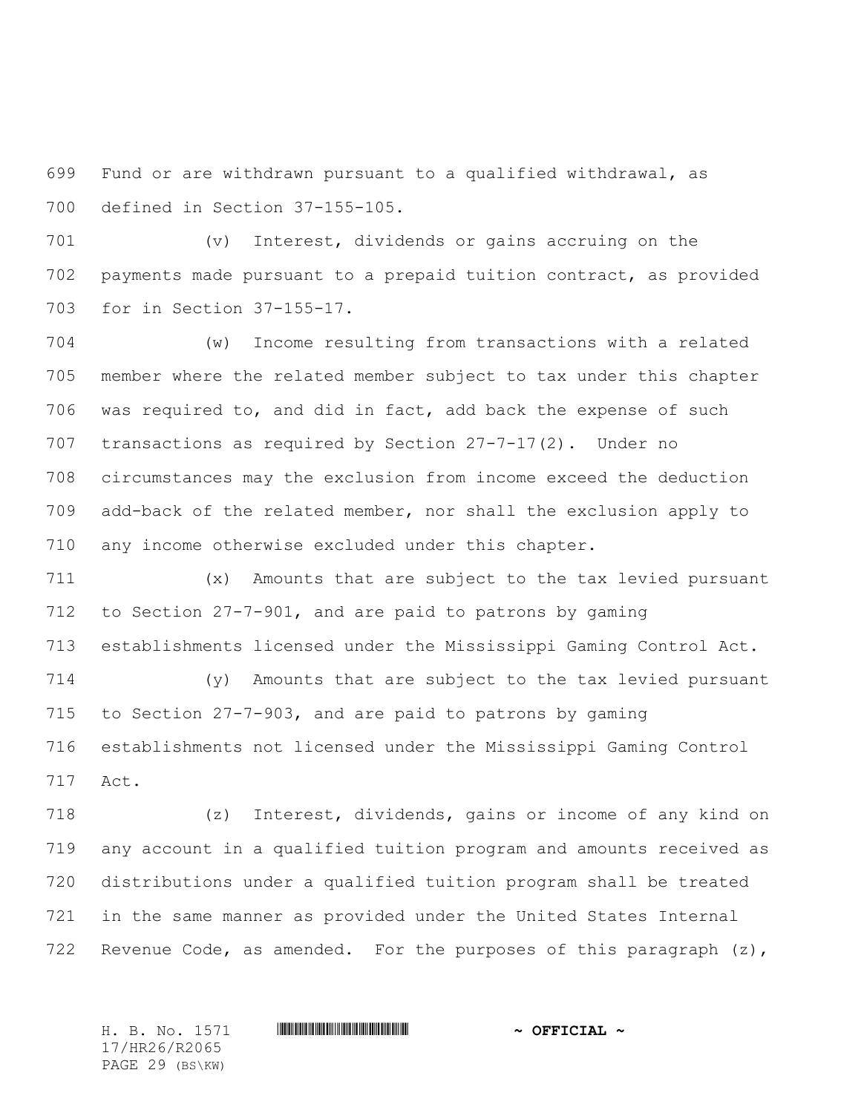Fund or are withdrawn pursuant to a qualified withdrawal, as defined in Section 37-155-105.

 (v) Interest, dividends or gains accruing on the payments made pursuant to a prepaid tuition contract, as provided for in Section 37-155-17.

 (w) Income resulting from transactions with a related member where the related member subject to tax under this chapter was required to, and did in fact, add back the expense of such transactions as required by Section 27-7-17(2). Under no circumstances may the exclusion from income exceed the deduction add-back of the related member, nor shall the exclusion apply to any income otherwise excluded under this chapter.

 (x) Amounts that are subject to the tax levied pursuant to Section 27-7-901, and are paid to patrons by gaming establishments licensed under the Mississippi Gaming Control Act.

 (y) Amounts that are subject to the tax levied pursuant to Section 27-7-903, and are paid to patrons by gaming establishments not licensed under the Mississippi Gaming Control Act.

 (z) Interest, dividends, gains or income of any kind on any account in a qualified tuition program and amounts received as distributions under a qualified tuition program shall be treated in the same manner as provided under the United States Internal 722 Revenue Code, as amended. For the purposes of this paragraph (z),

17/HR26/R2065 PAGE 29 (BS\KW)

H. B. No. 1571 **. AND AND ADDED**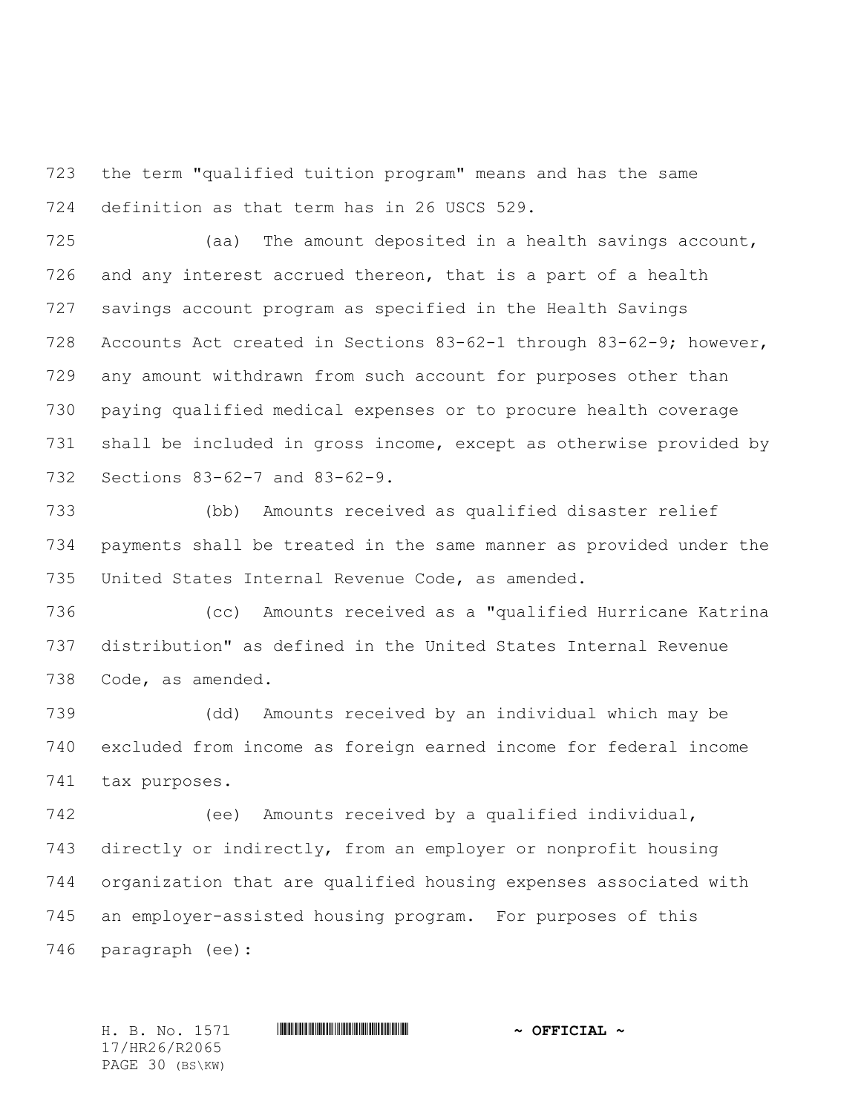the term "qualified tuition program" means and has the same definition as that term has in 26 USCS 529.

 (aa) The amount deposited in a health savings account, and any interest accrued thereon, that is a part of a health savings account program as specified in the Health Savings Accounts Act created in Sections 83-62-1 through 83-62-9; however, any amount withdrawn from such account for purposes other than paying qualified medical expenses or to procure health coverage shall be included in gross income, except as otherwise provided by Sections 83-62-7 and 83-62-9.

 (bb) Amounts received as qualified disaster relief payments shall be treated in the same manner as provided under the United States Internal Revenue Code, as amended.

 (cc) Amounts received as a "qualified Hurricane Katrina distribution" as defined in the United States Internal Revenue Code, as amended.

 (dd) Amounts received by an individual which may be excluded from income as foreign earned income for federal income tax purposes.

 (ee) Amounts received by a qualified individual, directly or indirectly, from an employer or nonprofit housing organization that are qualified housing expenses associated with an employer-assisted housing program. For purposes of this paragraph (ee):

17/HR26/R2065 PAGE 30 (BS\KW)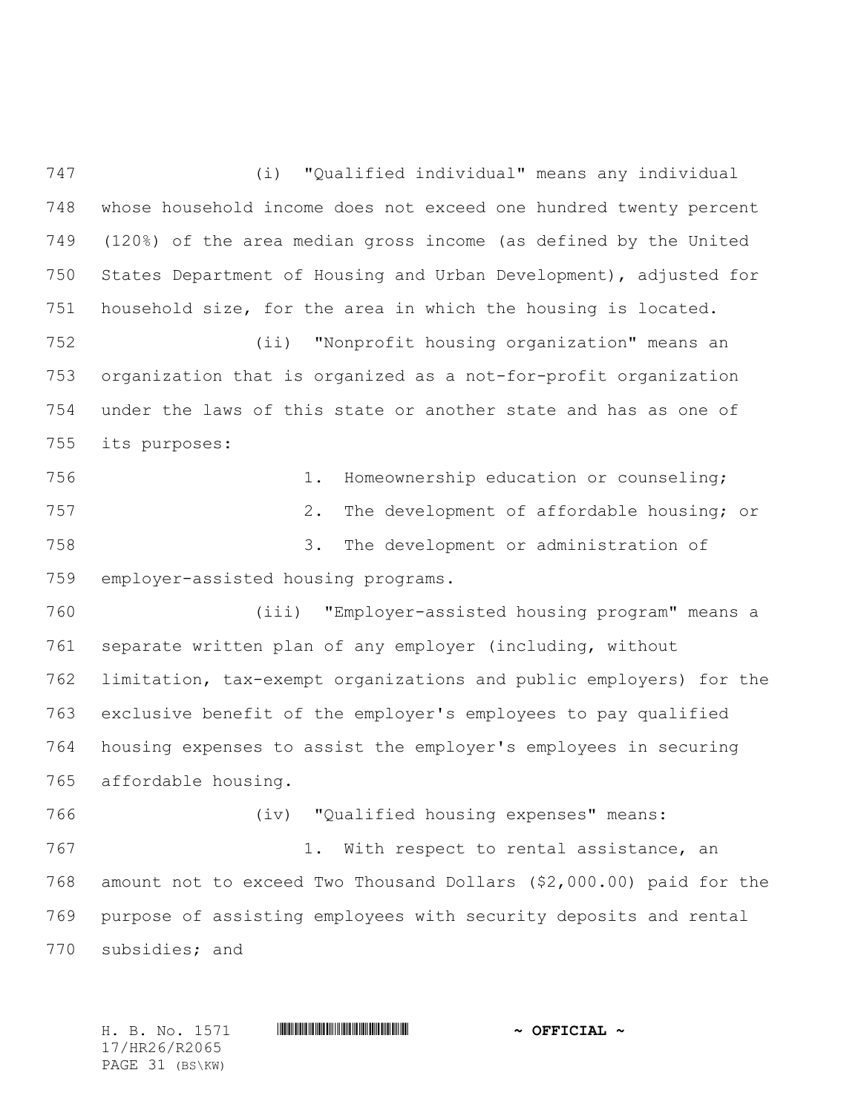(i) "Qualified individual" means any individual whose household income does not exceed one hundred twenty percent (120%) of the area median gross income (as defined by the United States Department of Housing and Urban Development), adjusted for household size, for the area in which the housing is located. (ii) "Nonprofit housing organization" means an organization that is organized as a not-for-profit organization under the laws of this state or another state and has as one of its purposes: 1. Homeownership education or counseling; 2. The development of affordable housing; or 3. The development or administration of employer-assisted housing programs. (iii) "Employer-assisted housing program" means a separate written plan of any employer (including, without limitation, tax-exempt organizations and public employers) for the exclusive benefit of the employer's employees to pay qualified housing expenses to assist the employer's employees in securing affordable housing. (iv) "Qualified housing expenses" means: 767 1. With respect to rental assistance, an amount not to exceed Two Thousand Dollars (\$2,000.00) paid for the purpose of assisting employees with security deposits and rental subsidies; and

17/HR26/R2065 PAGE 31 (BS\KW)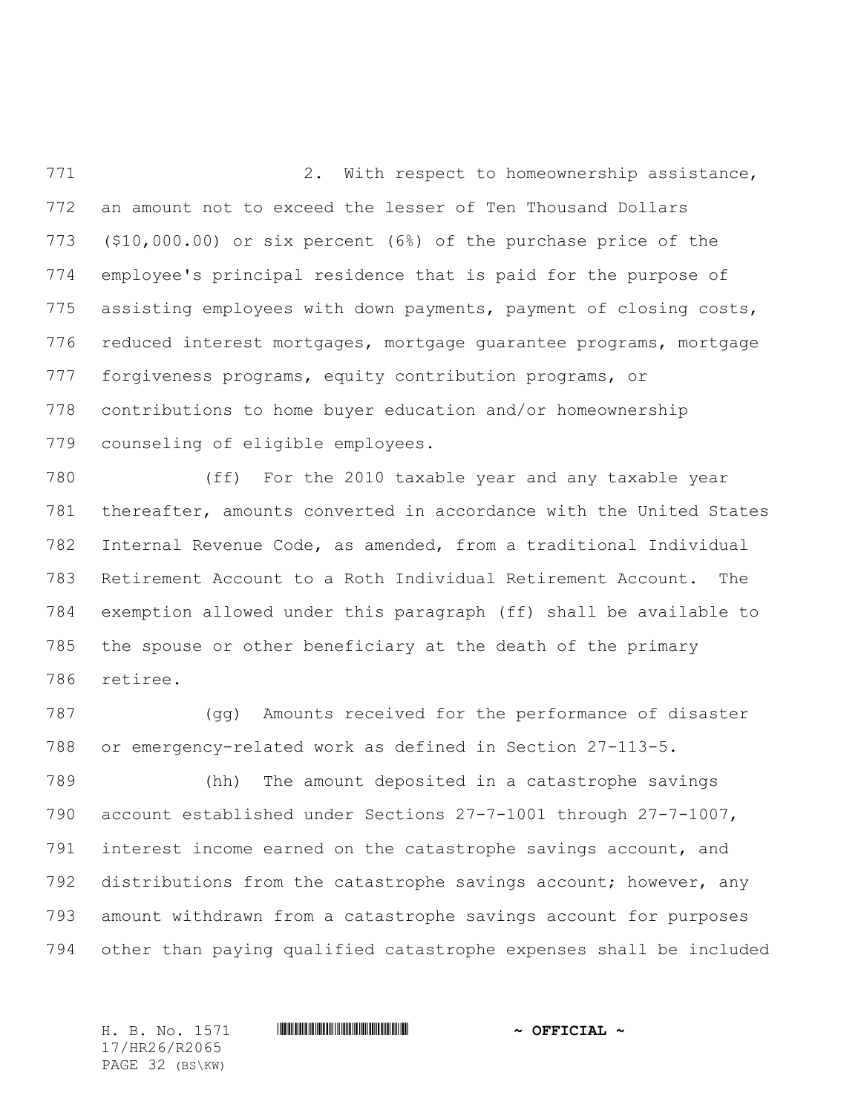2. With respect to homeownership assistance, an amount not to exceed the lesser of Ten Thousand Dollars (\$10,000.00) or six percent (6%) of the purchase price of the employee's principal residence that is paid for the purpose of 775 assisting employees with down payments, payment of closing costs, reduced interest mortgages, mortgage guarantee programs, mortgage forgiveness programs, equity contribution programs, or contributions to home buyer education and/or homeownership counseling of eligible employees.

 (ff) For the 2010 taxable year and any taxable year thereafter, amounts converted in accordance with the United States Internal Revenue Code, as amended, from a traditional Individual Retirement Account to a Roth Individual Retirement Account. The exemption allowed under this paragraph (ff) shall be available to the spouse or other beneficiary at the death of the primary retiree.

 (gg) Amounts received for the performance of disaster or emergency-related work as defined in Section 27-113-5.

 (hh) The amount deposited in a catastrophe savings account established under Sections 27-7-1001 through 27-7-1007, interest income earned on the catastrophe savings account, and distributions from the catastrophe savings account; however, any amount withdrawn from a catastrophe savings account for purposes other than paying qualified catastrophe expenses shall be included

17/HR26/R2065 PAGE 32 (BS\KW)

H. B. No. 1571 **. AND AND ADDED**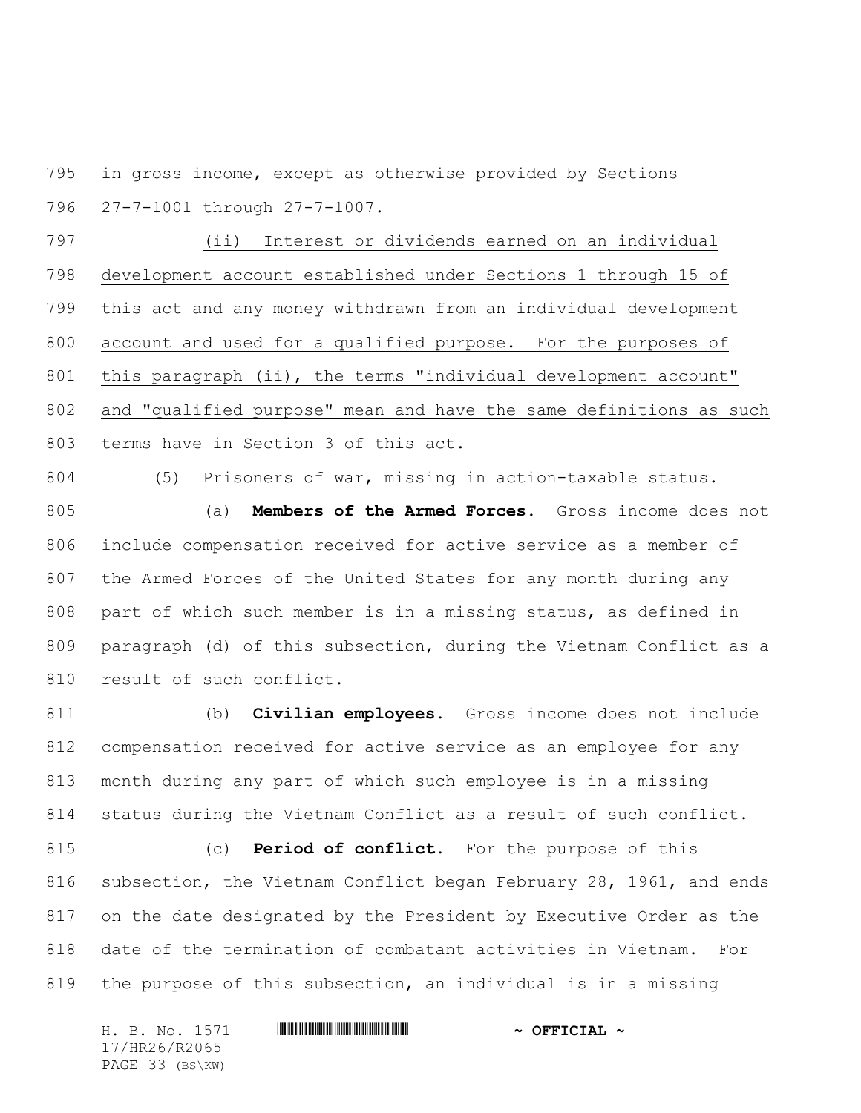in gross income, except as otherwise provided by Sections 27-7-1001 through 27-7-1007.

 (ii) Interest or dividends earned on an individual development account established under Sections 1 through 15 of this act and any money withdrawn from an individual development account and used for a qualified purpose. For the purposes of this paragraph (ii), the terms "individual development account" and "qualified purpose" mean and have the same definitions as such terms have in Section 3 of this act.

(5) Prisoners of war, missing in action-taxable status.

 (a) **Members of the Armed Forces.** Gross income does not include compensation received for active service as a member of the Armed Forces of the United States for any month during any part of which such member is in a missing status, as defined in paragraph (d) of this subsection, during the Vietnam Conflict as a 810 result of such conflict.

 (b) **Civilian employees.** Gross income does not include compensation received for active service as an employee for any month during any part of which such employee is in a missing status during the Vietnam Conflict as a result of such conflict.

 (c) **Period of conflict.** For the purpose of this subsection, the Vietnam Conflict began February 28, 1961, and ends on the date designated by the President by Executive Order as the date of the termination of combatant activities in Vietnam. For the purpose of this subsection, an individual is in a missing

H. B. No. 1571 **HRACH RACE AND ALL AND A OFFICIAL ~** 17/HR26/R2065 PAGE 33 (BS\KW)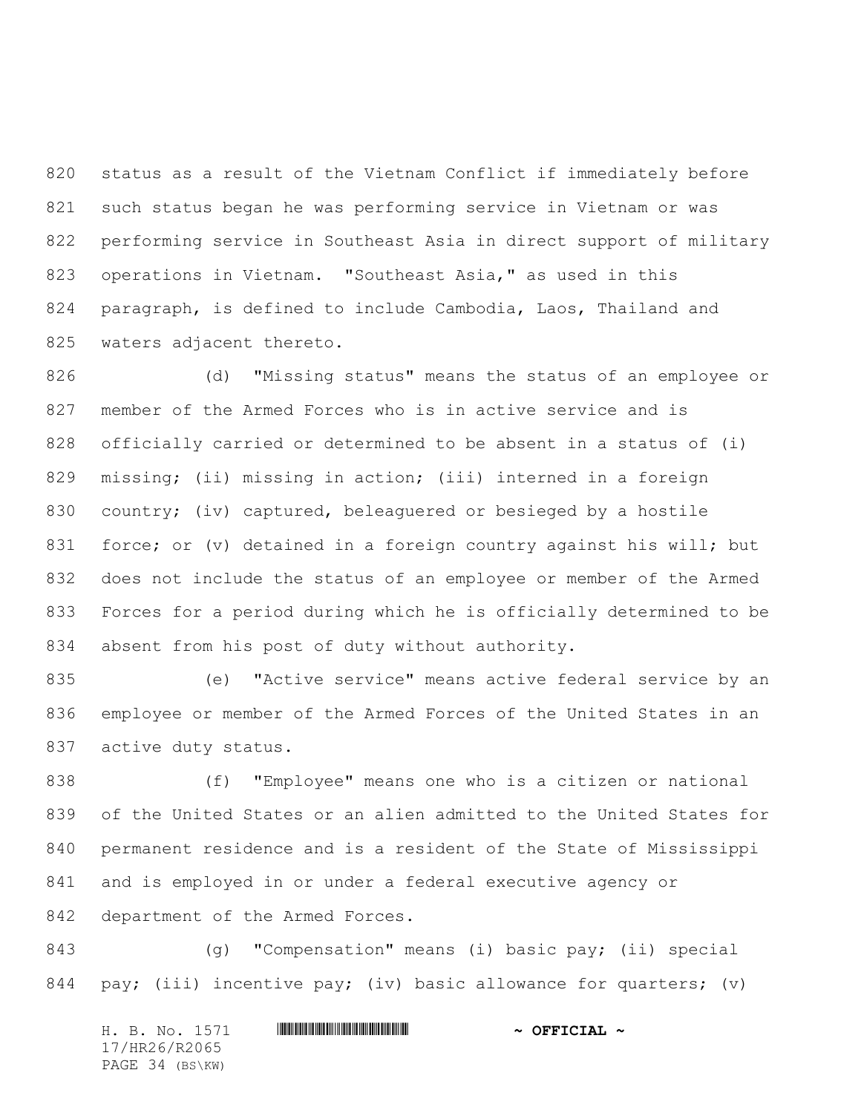status as a result of the Vietnam Conflict if immediately before such status began he was performing service in Vietnam or was performing service in Southeast Asia in direct support of military operations in Vietnam. "Southeast Asia," as used in this paragraph, is defined to include Cambodia, Laos, Thailand and 825 waters adjacent thereto.

 (d) "Missing status" means the status of an employee or member of the Armed Forces who is in active service and is officially carried or determined to be absent in a status of (i) missing; (ii) missing in action; (iii) interned in a foreign country; (iv) captured, beleaguered or besieged by a hostile 831 force; or (v) detained in a foreign country against his will; but does not include the status of an employee or member of the Armed Forces for a period during which he is officially determined to be absent from his post of duty without authority.

 (e) "Active service" means active federal service by an employee or member of the Armed Forces of the United States in an active duty status.

 (f) "Employee" means one who is a citizen or national of the United States or an alien admitted to the United States for permanent residence and is a resident of the State of Mississippi and is employed in or under a federal executive agency or department of the Armed Forces.

 (g) "Compensation" means (i) basic pay; (ii) special 844 pay; (iii) incentive pay; (iv) basic allowance for quarters; (v)

H. B. No. 1571 \*HR26/R2065\* **~ OFFICIAL ~** 17/HR26/R2065 PAGE 34 (BS\KW)